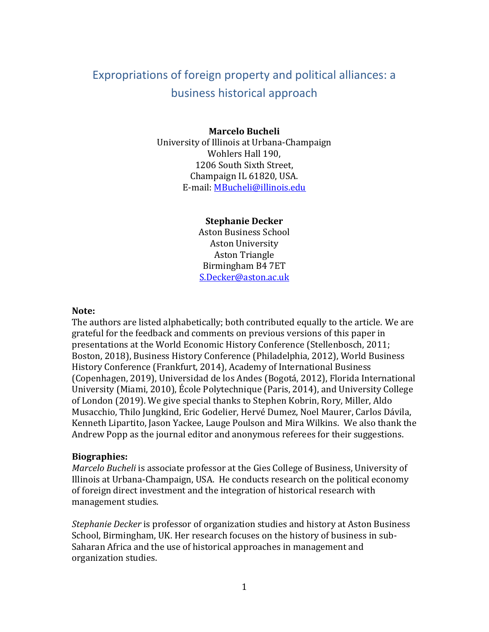# Expropriations of foreign property and political alliances: a business historical approach

#### **Marcelo Bucheli**

University of Illinois at Urbana-Champaign Wohlers Hall 190, 1206 South Sixth Street, Champaign IL 61820, USA. E-mail: [MBucheli@illinois.edu](mailto:MBucheli@illinois.edu)

#### **Stephanie Decker**

Aston Business School Aston University Aston Triangle Birmingham B4 7ET [S.Decker@aston.ac.uk](mailto:S.Decker@aston.ac.uk)

#### **Note:**

The authors are listed alphabetically; both contributed equally to the article. We are grateful for the feedback and comments on previous versions of this paper in presentations at the World Economic History Conference (Stellenbosch, 2011; Boston, 2018), Business History Conference (Philadelphia, 2012), World Business History Conference (Frankfurt, 2014), Academy of International Business (Copenhagen, 2019), Universidad de los Andes (Bogotá, 2012), Florida International University (Miami, 2010), École Polytechnique (Paris, 2014), and University College of London (2019). We give special thanks to Stephen Kobrin, Rory, Miller, Aldo Musacchio, Thilo Jungkind, Eric Godelier, Hervé Dumez, Noel Maurer, Carlos Dávila, Kenneth Lipartito, Jason Yackee, Lauge Poulson and Mira Wilkins. We also thank the Andrew Popp as the journal editor and anonymous referees for their suggestions.

#### **Biographies:**

*Marcelo Bucheli* is associate professor at the Gies College of Business, University of Illinois at Urbana-Champaign, USA. He conducts research on the political economy of foreign direct investment and the integration of historical research with management studies.

*Stephanie Decker* is professor of organization studies and history at Aston Business School, Birmingham, UK. Her research focuses on the history of business in sub-Saharan Africa and the use of historical approaches in management and organization studies.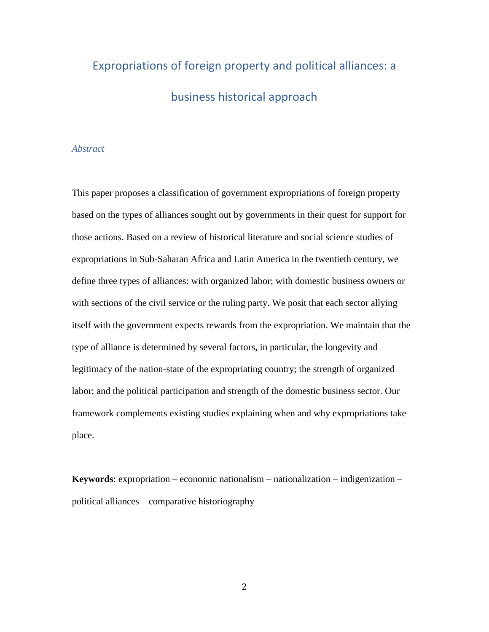# Expropriations of foreign property and political alliances: a business historical approach

#### *Abstract*

This paper proposes a classification of government expropriations of foreign property based on the types of alliances sought out by governments in their quest for support for those actions. Based on a review of historical literature and social science studies of expropriations in Sub-Saharan Africa and Latin America in the twentieth century, we define three types of alliances: with organized labor; with domestic business owners or with sections of the civil service or the ruling party. We posit that each sector allying itself with the government expects rewards from the expropriation. We maintain that the type of alliance is determined by several factors, in particular, the longevity and legitimacy of the nation-state of the expropriating country; the strength of organized labor; and the political participation and strength of the domestic business sector. Our framework complements existing studies explaining when and why expropriations take place.

**Keywords**: expropriation – economic nationalism – nationalization – indigenization – political alliances – comparative historiography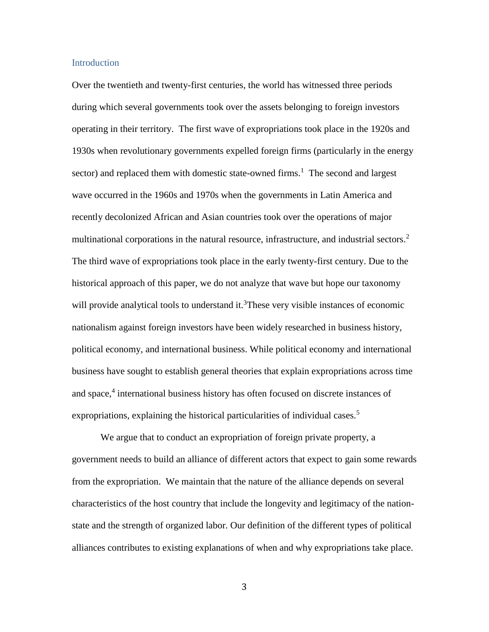#### **Introduction**

Over the twentieth and twenty-first centuries, the world has witnessed three periods during which several governments took over the assets belonging to foreign investors operating in their territory. The first wave of expropriations took place in the 1920s and 1930s when revolutionary governments expelled foreign firms (particularly in the energy sector) and replaced them with domestic state-owned firms.<sup>1</sup> The second and largest wave occurred in the 1960s and 1970s when the governments in Latin America and recently decolonized African and Asian countries took over the operations of major multinational corporations in the natural resource, infrastructure, and industrial sectors.<sup>2</sup> The third wave of expropriations took place in the early twenty-first century. Due to the historical approach of this paper, we do not analyze that wave but hope our taxonomy will provide analytical tools to understand it.<sup>3</sup>These very visible instances of economic nationalism against foreign investors have been widely researched in business history, political economy, and international business. While political economy and international business have sought to establish general theories that explain expropriations across time and space,<sup>4</sup> international business history has often focused on discrete instances of expropriations, explaining the historical particularities of individual cases.<sup>5</sup>

We argue that to conduct an expropriation of foreign private property, a government needs to build an alliance of different actors that expect to gain some rewards from the expropriation. We maintain that the nature of the alliance depends on several characteristics of the host country that include the longevity and legitimacy of the nationstate and the strength of organized labor. Our definition of the different types of political alliances contributes to existing explanations of when and why expropriations take place.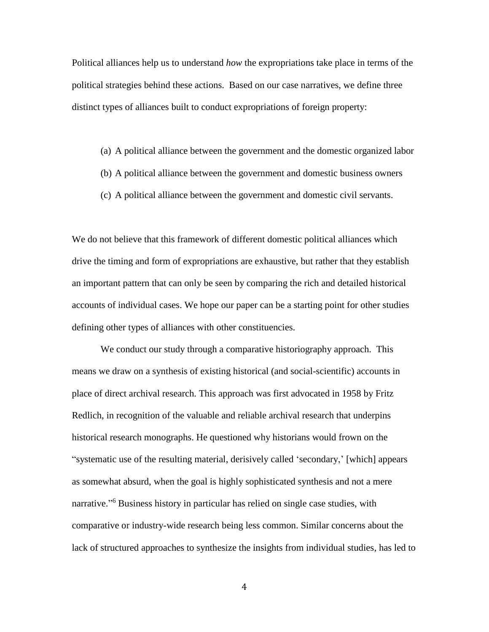Political alliances help us to understand *how* the expropriations take place in terms of the political strategies behind these actions. Based on our case narratives, we define three distinct types of alliances built to conduct expropriations of foreign property:

- (a) A political alliance between the government and the domestic organized labor
- (b) A political alliance between the government and domestic business owners
- (c) A political alliance between the government and domestic civil servants.

We do not believe that this framework of different domestic political alliances which drive the timing and form of expropriations are exhaustive, but rather that they establish an important pattern that can only be seen by comparing the rich and detailed historical accounts of individual cases. We hope our paper can be a starting point for other studies defining other types of alliances with other constituencies.

We conduct our study through a comparative historiography approach. This means we draw on a synthesis of existing historical (and social-scientific) accounts in place of direct archival research. This approach was first advocated in 1958 by Fritz Redlich, in recognition of the valuable and reliable archival research that underpins historical research monographs. He questioned why historians would frown on the "systematic use of the resulting material, derisively called 'secondary,' [which] appears as somewhat absurd, when the goal is highly sophisticated synthesis and not a mere narrative." <sup>6</sup> Business history in particular has relied on single case studies, with comparative or industry-wide research being less common. Similar concerns about the lack of structured approaches to synthesize the insights from individual studies, has led to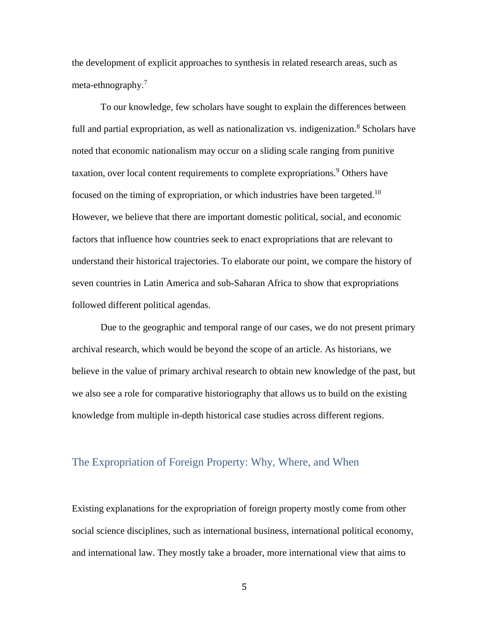the development of explicit approaches to synthesis in related research areas, such as meta-ethnography.<sup>7</sup>

To our knowledge, few scholars have sought to explain the differences between full and partial expropriation, as well as nationalization vs. indigenization. $8$  Scholars have noted that economic nationalism may occur on a sliding scale ranging from punitive taxation, over local content requirements to complete expropriations.<sup>9</sup> Others have focused on the timing of expropriation, or which industries have been targeted.<sup>10</sup> However, we believe that there are important domestic political, social, and economic factors that influence how countries seek to enact expropriations that are relevant to understand their historical trajectories. To elaborate our point, we compare the history of seven countries in Latin America and sub-Saharan Africa to show that expropriations followed different political agendas.

Due to the geographic and temporal range of our cases, we do not present primary archival research, which would be beyond the scope of an article. As historians, we believe in the value of primary archival research to obtain new knowledge of the past, but we also see a role for comparative historiography that allows us to build on the existing knowledge from multiple in-depth historical case studies across different regions.

### The Expropriation of Foreign Property: Why, Where, and When

Existing explanations for the expropriation of foreign property mostly come from other social science disciplines, such as international business, international political economy, and international law. They mostly take a broader, more international view that aims to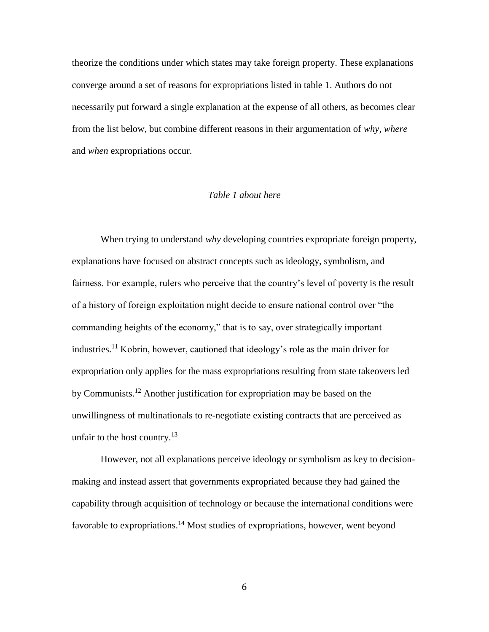theorize the conditions under which states may take foreign property. These explanations converge around a set of reasons for expropriations listed in table 1. Authors do not necessarily put forward a single explanation at the expense of all others, as becomes clear from the list below, but combine different reasons in their argumentation of *why*, *where* and *when* expropriations occur.

#### *Table 1 about here*

When trying to understand *why* developing countries expropriate foreign property, explanations have focused on abstract concepts such as ideology, symbolism, and fairness. For example, rulers who perceive that the country's level of poverty is the result of a history of foreign exploitation might decide to ensure national control over "the commanding heights of the economy," that is to say, over strategically important industries.<sup>11</sup> Kobrin, however, cautioned that ideology's role as the main driver for expropriation only applies for the mass expropriations resulting from state takeovers led by Communists.<sup>12</sup> Another justification for expropriation may be based on the unwillingness of multinationals to re-negotiate existing contracts that are perceived as unfair to the host country.<sup>13</sup>

However, not all explanations perceive ideology or symbolism as key to decisionmaking and instead assert that governments expropriated because they had gained the capability through acquisition of technology or because the international conditions were favorable to expropriations.<sup>14</sup> Most studies of expropriations, however, went beyond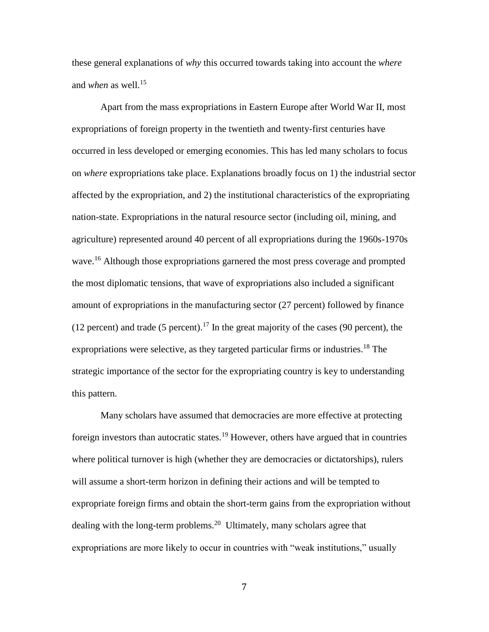these general explanations of *why* this occurred towards taking into account the *where* and *when* as well.<sup>15</sup>

Apart from the mass expropriations in Eastern Europe after World War II, most expropriations of foreign property in the twentieth and twenty-first centuries have occurred in less developed or emerging economies. This has led many scholars to focus on *where* expropriations take place. Explanations broadly focus on 1) the industrial sector affected by the expropriation, and 2) the institutional characteristics of the expropriating nation-state. Expropriations in the natural resource sector (including oil, mining, and agriculture) represented around 40 percent of all expropriations during the 1960s-1970s wave.<sup>16</sup> Although those expropriations garnered the most press coverage and prompted the most diplomatic tensions, that wave of expropriations also included a significant amount of expropriations in the manufacturing sector (27 percent) followed by finance (12 percent) and trade (5 percent).<sup>17</sup> In the great majority of the cases (90 percent), the expropriations were selective, as they targeted particular firms or industries.<sup>18</sup> The strategic importance of the sector for the expropriating country is key to understanding this pattern.

Many scholars have assumed that democracies are more effective at protecting foreign investors than autocratic states.<sup>19</sup> However, others have argued that in countries where political turnover is high (whether they are democracies or dictatorships), rulers will assume a short-term horizon in defining their actions and will be tempted to expropriate foreign firms and obtain the short-term gains from the expropriation without dealing with the long-term problems.<sup>20</sup> Ultimately, many scholars agree that expropriations are more likely to occur in countries with "weak institutions," usually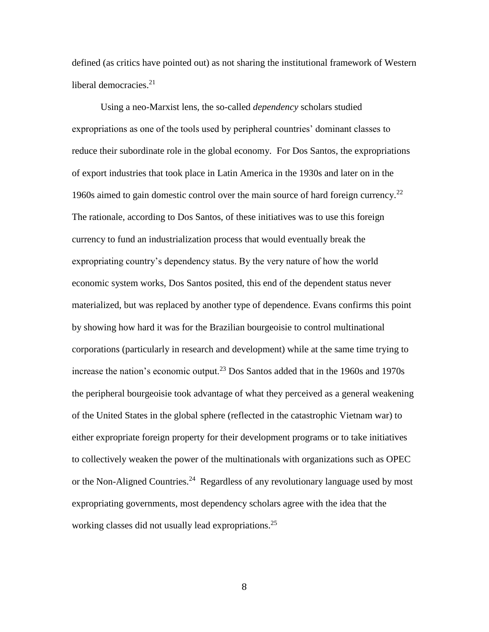defined (as critics have pointed out) as not sharing the institutional framework of Western liberal democracies. $2<sup>1</sup>$ 

Using a neo-Marxist lens, the so-called *dependency* scholars studied expropriations as one of the tools used by peripheral countries' dominant classes to reduce their subordinate role in the global economy. For Dos Santos, the expropriations of export industries that took place in Latin America in the 1930s and later on in the 1960s aimed to gain domestic control over the main source of hard foreign currency.<sup>22</sup> The rationale, according to Dos Santos, of these initiatives was to use this foreign currency to fund an industrialization process that would eventually break the expropriating country's dependency status. By the very nature of how the world economic system works, Dos Santos posited, this end of the dependent status never materialized, but was replaced by another type of dependence. Evans confirms this point by showing how hard it was for the Brazilian bourgeoisie to control multinational corporations (particularly in research and development) while at the same time trying to increase the nation's economic output.<sup>23</sup> Dos Santos added that in the 1960s and 1970s the peripheral bourgeoisie took advantage of what they perceived as a general weakening of the United States in the global sphere (reflected in the catastrophic Vietnam war) to either expropriate foreign property for their development programs or to take initiatives to collectively weaken the power of the multinationals with organizations such as OPEC or the Non-Aligned Countries.<sup>24</sup> Regardless of any revolutionary language used by most expropriating governments, most dependency scholars agree with the idea that the working classes did not usually lead expropriations.<sup>25</sup>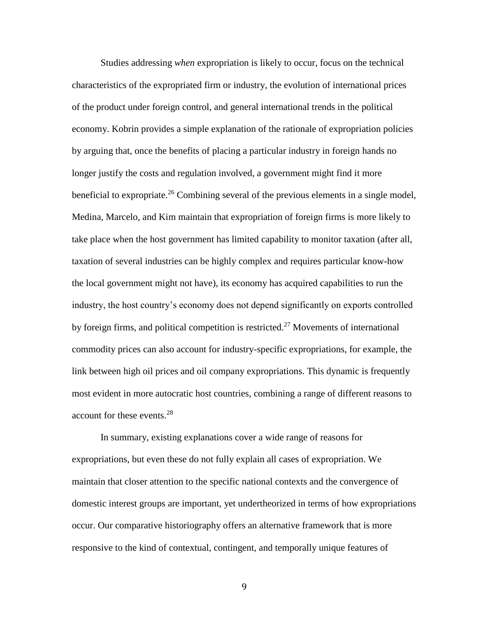Studies addressing *when* expropriation is likely to occur, focus on the technical characteristics of the expropriated firm or industry, the evolution of international prices of the product under foreign control, and general international trends in the political economy. Kobrin provides a simple explanation of the rationale of expropriation policies by arguing that, once the benefits of placing a particular industry in foreign hands no longer justify the costs and regulation involved, a government might find it more beneficial to expropriate.<sup>26</sup> Combining several of the previous elements in a single model, Medina, Marcelo, and Kim maintain that expropriation of foreign firms is more likely to take place when the host government has limited capability to monitor taxation (after all, taxation of several industries can be highly complex and requires particular know-how the local government might not have), its economy has acquired capabilities to run the industry, the host country's economy does not depend significantly on exports controlled by foreign firms, and political competition is restricted.<sup>27</sup> Movements of international commodity prices can also account for industry-specific expropriations, for example, the link between high oil prices and oil company expropriations. This dynamic is frequently most evident in more autocratic host countries, combining a range of different reasons to account for these events.<sup>28</sup>

In summary, existing explanations cover a wide range of reasons for expropriations, but even these do not fully explain all cases of expropriation. We maintain that closer attention to the specific national contexts and the convergence of domestic interest groups are important, yet undertheorized in terms of how expropriations occur. Our comparative historiography offers an alternative framework that is more responsive to the kind of contextual, contingent, and temporally unique features of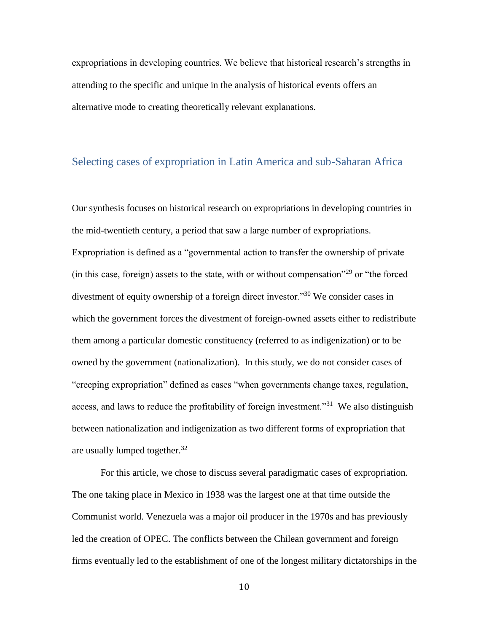expropriations in developing countries. We believe that historical research's strengths in attending to the specific and unique in the analysis of historical events offers an alternative mode to creating theoretically relevant explanations.

#### Selecting cases of expropriation in Latin America and sub-Saharan Africa

Our synthesis focuses on historical research on expropriations in developing countries in the mid-twentieth century, a period that saw a large number of expropriations. Expropriation is defined as a "governmental action to transfer the ownership of private (in this case, foreign) assets to the state, with or without compensation<sup> $29$ </sup> or "the forced divestment of equity ownership of a foreign direct investor."<sup>30</sup> We consider cases in which the government forces the divestment of foreign-owned assets either to redistribute them among a particular domestic constituency (referred to as indigenization) or to be owned by the government (nationalization). In this study, we do not consider cases of "creeping expropriation" defined as cases "when governments change taxes, regulation, access, and laws to reduce the profitability of foreign investment."<sup>31</sup> We also distinguish between nationalization and indigenization as two different forms of expropriation that are usually lumped together. $32$ 

For this article, we chose to discuss several paradigmatic cases of expropriation. The one taking place in Mexico in 1938 was the largest one at that time outside the Communist world. Venezuela was a major oil producer in the 1970s and has previously led the creation of OPEC. The conflicts between the Chilean government and foreign firms eventually led to the establishment of one of the longest military dictatorships in the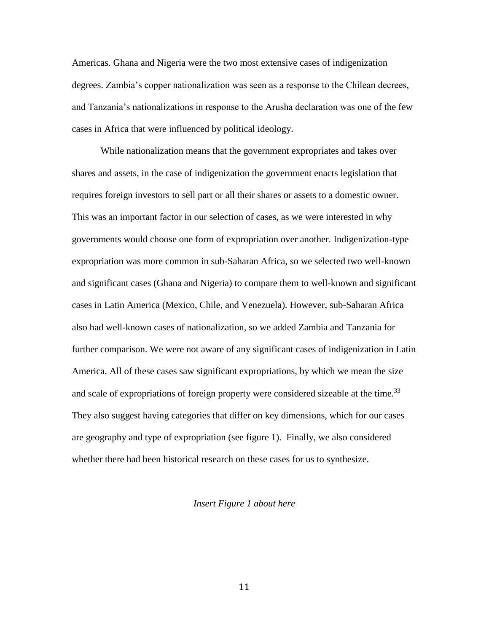Americas. Ghana and Nigeria were the two most extensive cases of indigenization degrees. Zambia's copper nationalization was seen as a response to the Chilean decrees, and Tanzania's nationalizations in response to the Arusha declaration was one of the few cases in Africa that were influenced by political ideology.

While nationalization means that the government expropriates and takes over shares and assets, in the case of indigenization the government enacts legislation that requires foreign investors to sell part or all their shares or assets to a domestic owner. This was an important factor in our selection of cases, as we were interested in why governments would choose one form of expropriation over another. Indigenization-type expropriation was more common in sub-Saharan Africa, so we selected two well-known and significant cases (Ghana and Nigeria) to compare them to well-known and significant cases in Latin America (Mexico, Chile, and Venezuela). However, sub-Saharan Africa also had well-known cases of nationalization, so we added Zambia and Tanzania for further comparison. We were not aware of any significant cases of indigenization in Latin America. All of these cases saw significant expropriations, by which we mean the size and scale of expropriations of foreign property were considered sizeable at the time.<sup>33</sup> They also suggest having categories that differ on key dimensions, which for our cases are geography and type of expropriation (see figure 1). Finally, we also considered whether there had been historical research on these cases for us to synthesize.

#### *Insert Figure 1 about here*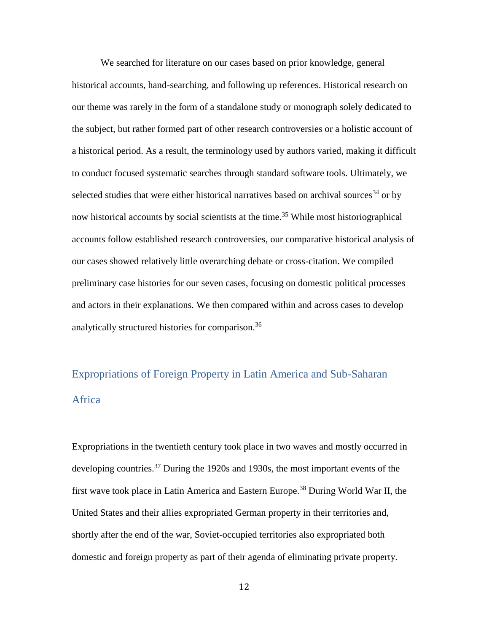We searched for literature on our cases based on prior knowledge, general historical accounts, hand-searching, and following up references. Historical research on our theme was rarely in the form of a standalone study or monograph solely dedicated to the subject, but rather formed part of other research controversies or a holistic account of a historical period. As a result, the terminology used by authors varied, making it difficult to conduct focused systematic searches through standard software tools. Ultimately, we selected studies that were either historical narratives based on archival sources<sup>34</sup> or by now historical accounts by social scientists at the time. <sup>35</sup> While most historiographical accounts follow established research controversies, our comparative historical analysis of our cases showed relatively little overarching debate or cross-citation. We compiled preliminary case histories for our seven cases, focusing on domestic political processes and actors in their explanations. We then compared within and across cases to develop analytically structured histories for comparison.<sup>36</sup>

# Expropriations of Foreign Property in Latin America and Sub-Saharan Africa

Expropriations in the twentieth century took place in two waves and mostly occurred in developing countries.<sup>37</sup> During the 1920s and 1930s, the most important events of the first wave took place in Latin America and Eastern Europe.<sup>38</sup> During World War II, the United States and their allies expropriated German property in their territories and, shortly after the end of the war, Soviet-occupied territories also expropriated both domestic and foreign property as part of their agenda of eliminating private property.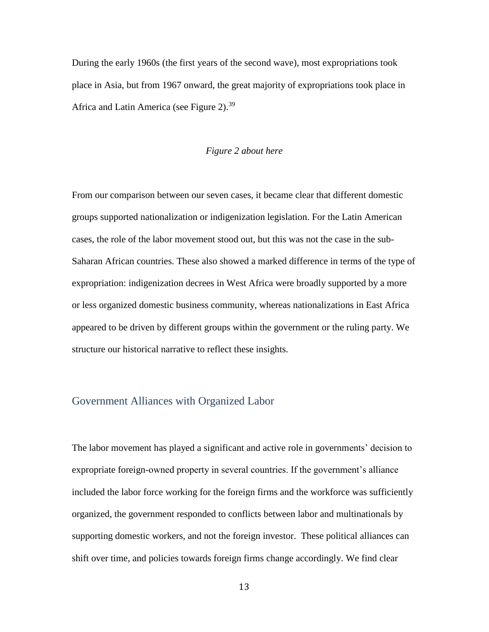During the early 1960s (the first years of the second wave), most expropriations took place in Asia, but from 1967 onward, the great majority of expropriations took place in Africa and Latin America (see Figure 2).<sup>39</sup>

#### *Figure 2 about here*

From our comparison between our seven cases, it became clear that different domestic groups supported nationalization or indigenization legislation. For the Latin American cases, the role of the labor movement stood out, but this was not the case in the sub-Saharan African countries. These also showed a marked difference in terms of the type of expropriation: indigenization decrees in West Africa were broadly supported by a more or less organized domestic business community, whereas nationalizations in East Africa appeared to be driven by different groups within the government or the ruling party. We structure our historical narrative to reflect these insights.

# Government Alliances with Organized Labor

The labor movement has played a significant and active role in governments' decision to expropriate foreign-owned property in several countries. If the government's alliance included the labor force working for the foreign firms and the workforce was sufficiently organized, the government responded to conflicts between labor and multinationals by supporting domestic workers, and not the foreign investor. These political alliances can shift over time, and policies towards foreign firms change accordingly. We find clear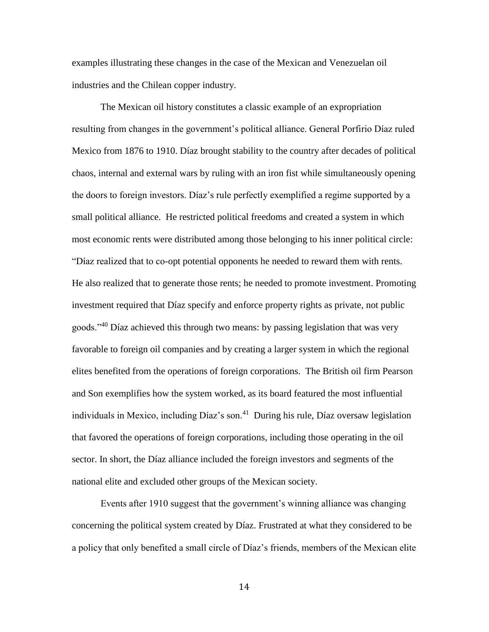examples illustrating these changes in the case of the Mexican and Venezuelan oil industries and the Chilean copper industry.

The Mexican oil history constitutes a classic example of an expropriation resulting from changes in the government's political alliance. General Porfirio Díaz ruled Mexico from 1876 to 1910. Díaz brought stability to the country after decades of political chaos, internal and external wars by ruling with an iron fist while simultaneously opening the doors to foreign investors. Díaz's rule perfectly exemplified a regime supported by a small political alliance. He restricted political freedoms and created a system in which most economic rents were distributed among those belonging to his inner political circle: "Díaz realized that to co-opt potential opponents he needed to reward them with rents. He also realized that to generate those rents; he needed to promote investment. Promoting investment required that Díaz specify and enforce property rights as private, not public goods."<sup>40</sup> Díaz achieved this through two means: by passing legislation that was very favorable to foreign oil companies and by creating a larger system in which the regional elites benefited from the operations of foreign corporations. The British oil firm Pearson and Son exemplifies how the system worked, as its board featured the most influential individuals in Mexico, including Díaz's son.<sup>41</sup> During his rule, Díaz oversaw legislation that favored the operations of foreign corporations, including those operating in the oil sector. In short, the Díaz alliance included the foreign investors and segments of the national elite and excluded other groups of the Mexican society.

Events after 1910 suggest that the government's winning alliance was changing concerning the political system created by Díaz. Frustrated at what they considered to be a policy that only benefited a small circle of Díaz's friends, members of the Mexican elite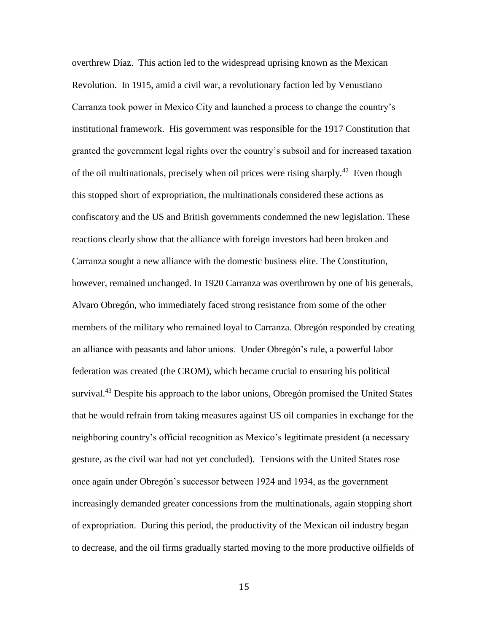overthrew Díaz. This action led to the widespread uprising known as the Mexican Revolution. In 1915, amid a civil war, a revolutionary faction led by Venustiano Carranza took power in Mexico City and launched a process to change the country's institutional framework. His government was responsible for the 1917 Constitution that granted the government legal rights over the country's subsoil and for increased taxation of the oil multinationals, precisely when oil prices were rising sharply.<sup>42</sup> Even though this stopped short of expropriation, the multinationals considered these actions as confiscatory and the US and British governments condemned the new legislation. These reactions clearly show that the alliance with foreign investors had been broken and Carranza sought a new alliance with the domestic business elite. The Constitution, however, remained unchanged. In 1920 Carranza was overthrown by one of his generals, Alvaro Obregón, who immediately faced strong resistance from some of the other members of the military who remained loyal to Carranza. Obregón responded by creating an alliance with peasants and labor unions. Under Obregón's rule, a powerful labor federation was created (the CROM), which became crucial to ensuring his political survival.<sup>43</sup> Despite his approach to the labor unions, Obregón promised the United States that he would refrain from taking measures against US oil companies in exchange for the neighboring country's official recognition as Mexico's legitimate president (a necessary gesture, as the civil war had not yet concluded). Tensions with the United States rose once again under Obregón's successor between 1924 and 1934, as the government increasingly demanded greater concessions from the multinationals, again stopping short of expropriation. During this period, the productivity of the Mexican oil industry began to decrease, and the oil firms gradually started moving to the more productive oilfields of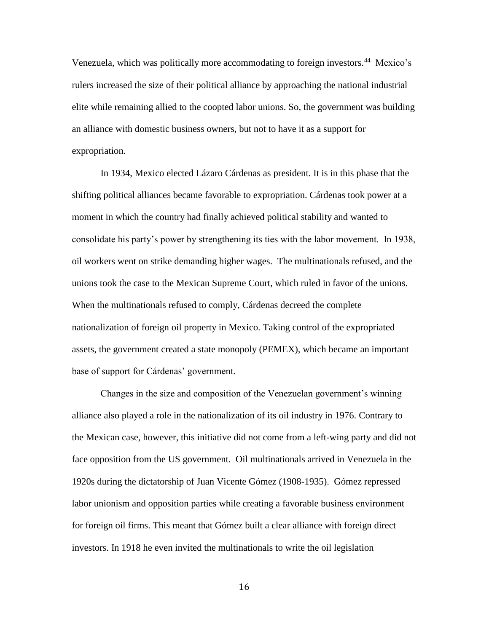Venezuela, which was politically more accommodating to foreign investors.<sup>44</sup> Mexico's rulers increased the size of their political alliance by approaching the national industrial elite while remaining allied to the coopted labor unions. So, the government was building an alliance with domestic business owners, but not to have it as a support for expropriation.

In 1934, Mexico elected Lázaro Cárdenas as president. It is in this phase that the shifting political alliances became favorable to expropriation. Cárdenas took power at a moment in which the country had finally achieved political stability and wanted to consolidate his party's power by strengthening its ties with the labor movement. In 1938, oil workers went on strike demanding higher wages. The multinationals refused, and the unions took the case to the Mexican Supreme Court, which ruled in favor of the unions. When the multinationals refused to comply, Cárdenas decreed the complete nationalization of foreign oil property in Mexico. Taking control of the expropriated assets, the government created a state monopoly (PEMEX), which became an important base of support for Cárdenas' government.

Changes in the size and composition of the Venezuelan government's winning alliance also played a role in the nationalization of its oil industry in 1976. Contrary to the Mexican case, however, this initiative did not come from a left-wing party and did not face opposition from the US government. Oil multinationals arrived in Venezuela in the 1920s during the dictatorship of Juan Vicente Gómez (1908-1935). Gómez repressed labor unionism and opposition parties while creating a favorable business environment for foreign oil firms. This meant that Gómez built a clear alliance with foreign direct investors. In 1918 he even invited the multinationals to write the oil legislation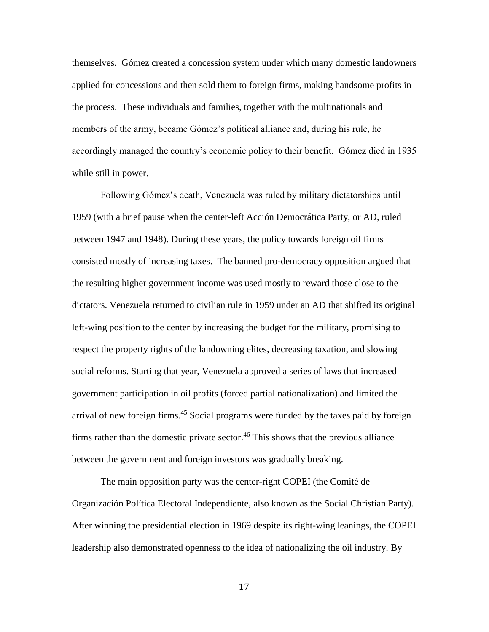themselves. Gómez created a concession system under which many domestic landowners applied for concessions and then sold them to foreign firms, making handsome profits in the process. These individuals and families, together with the multinationals and members of the army, became Gómez's political alliance and, during his rule, he accordingly managed the country's economic policy to their benefit. Gómez died in 1935 while still in power.

Following Gómez's death, Venezuela was ruled by military dictatorships until 1959 (with a brief pause when the center-left Acción Democrática Party, or AD, ruled between 1947 and 1948). During these years, the policy towards foreign oil firms consisted mostly of increasing taxes. The banned pro-democracy opposition argued that the resulting higher government income was used mostly to reward those close to the dictators. Venezuela returned to civilian rule in 1959 under an AD that shifted its original left-wing position to the center by increasing the budget for the military, promising to respect the property rights of the landowning elites, decreasing taxation, and slowing social reforms. Starting that year, Venezuela approved a series of laws that increased government participation in oil profits (forced partial nationalization) and limited the arrival of new foreign firms.<sup>45</sup> Social programs were funded by the taxes paid by foreign firms rather than the domestic private sector. <sup>46</sup> This shows that the previous alliance between the government and foreign investors was gradually breaking.

The main opposition party was the center-right COPEI (the Comité de Organización Política Electoral Independiente, also known as the Social Christian Party). After winning the presidential election in 1969 despite its right-wing leanings, the COPEI leadership also demonstrated openness to the idea of nationalizing the oil industry. By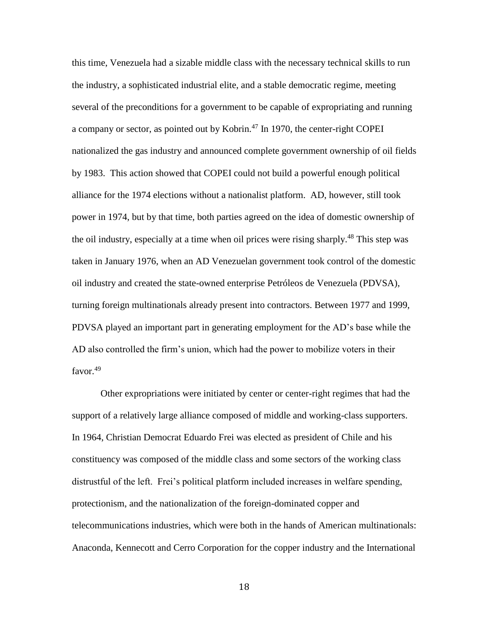this time, Venezuela had a sizable middle class with the necessary technical skills to run the industry, a sophisticated industrial elite, and a stable democratic regime, meeting several of the preconditions for a government to be capable of expropriating and running a company or sector, as pointed out by Kobrin.<sup>47</sup> In 1970, the center-right COPEI nationalized the gas industry and announced complete government ownership of oil fields by 1983. This action showed that COPEI could not build a powerful enough political alliance for the 1974 elections without a nationalist platform. AD, however, still took power in 1974, but by that time, both parties agreed on the idea of domestic ownership of the oil industry, especially at a time when oil prices were rising sharply.<sup>48</sup> This step was taken in January 1976, when an AD Venezuelan government took control of the domestic oil industry and created the state-owned enterprise Petróleos de Venezuela (PDVSA), turning foreign multinationals already present into contractors. Between 1977 and 1999, PDVSA played an important part in generating employment for the AD's base while the AD also controlled the firm's union, which had the power to mobilize voters in their favor. 49

Other expropriations were initiated by center or center-right regimes that had the support of a relatively large alliance composed of middle and working-class supporters. In 1964, Christian Democrat Eduardo Frei was elected as president of Chile and his constituency was composed of the middle class and some sectors of the working class distrustful of the left. Frei's political platform included increases in welfare spending, protectionism, and the nationalization of the foreign-dominated copper and telecommunications industries, which were both in the hands of American multinationals: Anaconda, Kennecott and Cerro Corporation for the copper industry and the International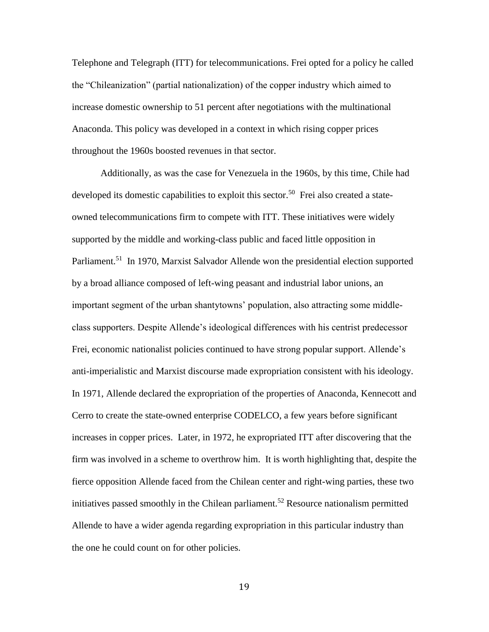Telephone and Telegraph (ITT) for telecommunications. Frei opted for a policy he called the "Chileanization" (partial nationalization) of the copper industry which aimed to increase domestic ownership to 51 percent after negotiations with the multinational Anaconda. This policy was developed in a context in which rising copper prices throughout the 1960s boosted revenues in that sector.

Additionally, as was the case for Venezuela in the 1960s, by this time, Chile had developed its domestic capabilities to exploit this sector.<sup>50</sup> Frei also created a stateowned telecommunications firm to compete with ITT. These initiatives were widely supported by the middle and working-class public and faced little opposition in Parliament.<sup>51</sup> In 1970, Marxist Salvador Allende won the presidential election supported by a broad alliance composed of left-wing peasant and industrial labor unions, an important segment of the urban shantytowns' population, also attracting some middleclass supporters. Despite Allende's ideological differences with his centrist predecessor Frei, economic nationalist policies continued to have strong popular support. Allende's anti-imperialistic and Marxist discourse made expropriation consistent with his ideology. In 1971, Allende declared the expropriation of the properties of Anaconda, Kennecott and Cerro to create the state-owned enterprise CODELCO, a few years before significant increases in copper prices. Later, in 1972, he expropriated ITT after discovering that the firm was involved in a scheme to overthrow him. It is worth highlighting that, despite the fierce opposition Allende faced from the Chilean center and right-wing parties, these two initiatives passed smoothly in the Chilean parliament.<sup>52</sup> Resource nationalism permitted Allende to have a wider agenda regarding expropriation in this particular industry than the one he could count on for other policies.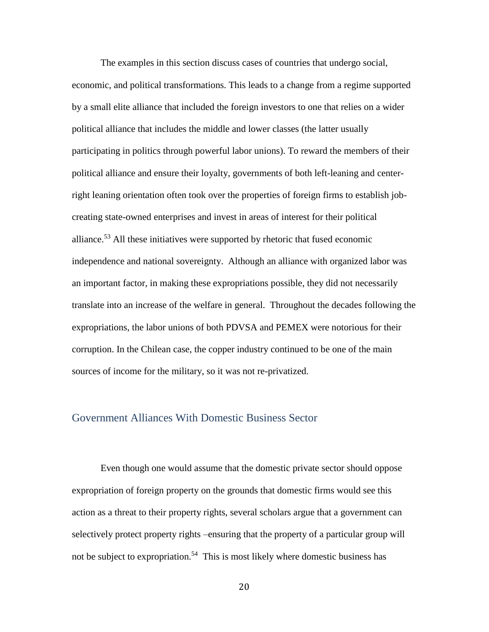The examples in this section discuss cases of countries that undergo social, economic, and political transformations. This leads to a change from a regime supported by a small elite alliance that included the foreign investors to one that relies on a wider political alliance that includes the middle and lower classes (the latter usually participating in politics through powerful labor unions). To reward the members of their political alliance and ensure their loyalty, governments of both left-leaning and centerright leaning orientation often took over the properties of foreign firms to establish jobcreating state-owned enterprises and invest in areas of interest for their political alliance.<sup>53</sup> All these initiatives were supported by rhetoric that fused economic independence and national sovereignty. Although an alliance with organized labor was an important factor, in making these expropriations possible, they did not necessarily translate into an increase of the welfare in general. Throughout the decades following the expropriations, the labor unions of both PDVSA and PEMEX were notorious for their corruption. In the Chilean case, the copper industry continued to be one of the main sources of income for the military, so it was not re-privatized.

#### Government Alliances With Domestic Business Sector

Even though one would assume that the domestic private sector should oppose expropriation of foreign property on the grounds that domestic firms would see this action as a threat to their property rights, several scholars argue that a government can selectively protect property rights –ensuring that the property of a particular group will not be subject to expropriation.<sup>54</sup> This is most likely where domestic business has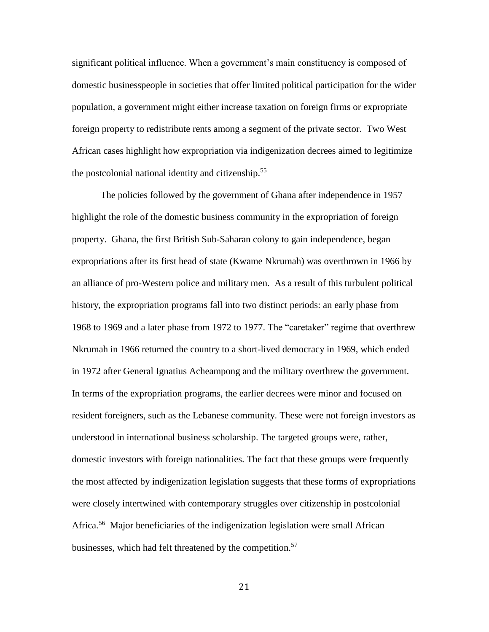significant political influence. When a government's main constituency is composed of domestic businesspeople in societies that offer limited political participation for the wider population, a government might either increase taxation on foreign firms or expropriate foreign property to redistribute rents among a segment of the private sector. Two West African cases highlight how expropriation via indigenization decrees aimed to legitimize the postcolonial national identity and citizenship.<sup>55</sup>

The policies followed by the government of Ghana after independence in 1957 highlight the role of the domestic business community in the expropriation of foreign property. Ghana, the first British Sub-Saharan colony to gain independence, began expropriations after its first head of state (Kwame Nkrumah) was overthrown in 1966 by an alliance of pro-Western police and military men. As a result of this turbulent political history, the expropriation programs fall into two distinct periods: an early phase from 1968 to 1969 and a later phase from 1972 to 1977. The "caretaker" regime that overthrew Nkrumah in 1966 returned the country to a short-lived democracy in 1969, which ended in 1972 after General Ignatius Acheampong and the military overthrew the government. In terms of the expropriation programs, the earlier decrees were minor and focused on resident foreigners, such as the Lebanese community. These were not foreign investors as understood in international business scholarship. The targeted groups were, rather, domestic investors with foreign nationalities. The fact that these groups were frequently the most affected by indigenization legislation suggests that these forms of expropriations were closely intertwined with contemporary struggles over citizenship in postcolonial Africa.<sup>56</sup> Major beneficiaries of the indigenization legislation were small African businesses, which had felt threatened by the competition.<sup>57</sup>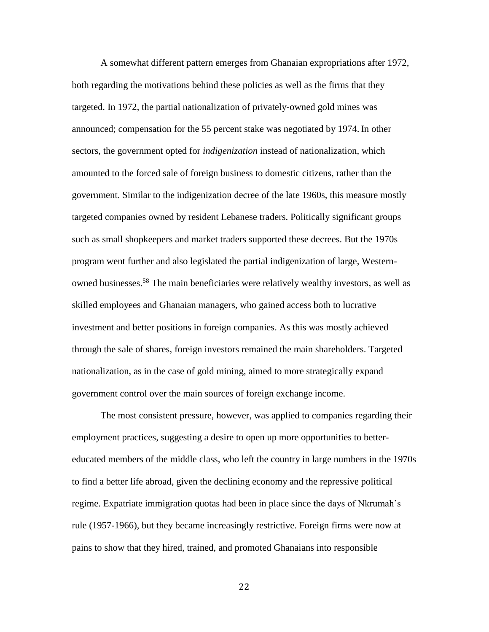A somewhat different pattern emerges from Ghanaian expropriations after 1972, both regarding the motivations behind these policies as well as the firms that they targeted. In 1972, the partial nationalization of privately-owned gold mines was announced; compensation for the 55 percent stake was negotiated by 1974. In other sectors, the government opted for *indigenization* instead of nationalization, which amounted to the forced sale of foreign business to domestic citizens, rather than the government. Similar to the indigenization decree of the late 1960s, this measure mostly targeted companies owned by resident Lebanese traders. Politically significant groups such as small shopkeepers and market traders supported these decrees. But the 1970s program went further and also legislated the partial indigenization of large, Westernowned businesses.<sup>58</sup> The main beneficiaries were relatively wealthy investors, as well as skilled employees and Ghanaian managers, who gained access both to lucrative investment and better positions in foreign companies. As this was mostly achieved through the sale of shares, foreign investors remained the main shareholders. Targeted nationalization, as in the case of gold mining, aimed to more strategically expand government control over the main sources of foreign exchange income.

The most consistent pressure, however, was applied to companies regarding their employment practices, suggesting a desire to open up more opportunities to bettereducated members of the middle class, who left the country in large numbers in the 1970s to find a better life abroad, given the declining economy and the repressive political regime. Expatriate immigration quotas had been in place since the days of Nkrumah's rule (1957-1966), but they became increasingly restrictive. Foreign firms were now at pains to show that they hired, trained, and promoted Ghanaians into responsible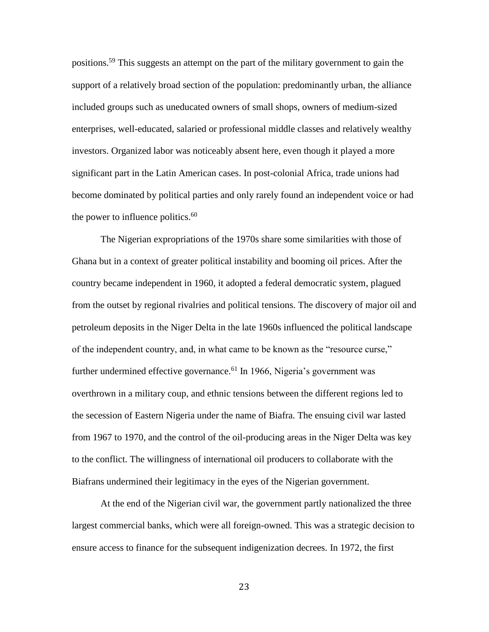positions.<sup>59</sup> This suggests an attempt on the part of the military government to gain the support of a relatively broad section of the population: predominantly urban, the alliance included groups such as uneducated owners of small shops, owners of medium-sized enterprises, well-educated, salaried or professional middle classes and relatively wealthy investors. Organized labor was noticeably absent here, even though it played a more significant part in the Latin American cases. In post-colonial Africa, trade unions had become dominated by political parties and only rarely found an independent voice or had the power to influence politics.<sup>60</sup>

The Nigerian expropriations of the 1970s share some similarities with those of Ghana but in a context of greater political instability and booming oil prices. After the country became independent in 1960, it adopted a federal democratic system, plagued from the outset by regional rivalries and political tensions. The discovery of major oil and petroleum deposits in the Niger Delta in the late 1960s influenced the political landscape of the independent country, and, in what came to be known as the "resource curse," further undermined effective governance.<sup>61</sup> In 1966, Nigeria's government was overthrown in a military coup, and ethnic tensions between the different regions led to the secession of Eastern Nigeria under the name of Biafra. The ensuing civil war lasted from 1967 to 1970, and the control of the oil-producing areas in the Niger Delta was key to the conflict. The willingness of international oil producers to collaborate with the Biafrans undermined their legitimacy in the eyes of the Nigerian government.

At the end of the Nigerian civil war, the government partly nationalized the three largest commercial banks, which were all foreign-owned. This was a strategic decision to ensure access to finance for the subsequent indigenization decrees. In 1972, the first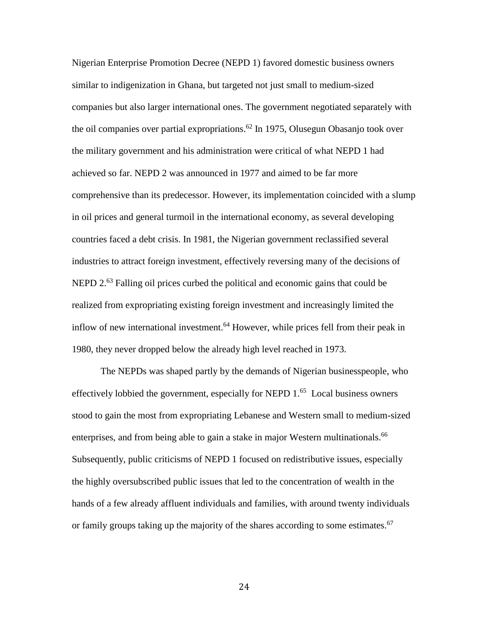Nigerian Enterprise Promotion Decree (NEPD 1) favored domestic business owners similar to indigenization in Ghana, but targeted not just small to medium-sized companies but also larger international ones. The government negotiated separately with the oil companies over partial expropriations.<sup>62</sup> In 1975, Olusegun Obasanjo took over the military government and his administration were critical of what NEPD 1 had achieved so far. NEPD 2 was announced in 1977 and aimed to be far more comprehensive than its predecessor. However, its implementation coincided with a slump in oil prices and general turmoil in the international economy, as several developing countries faced a debt crisis. In 1981, the Nigerian government reclassified several industries to attract foreign investment, effectively reversing many of the decisions of NEPD 2.<sup>63</sup> Falling oil prices curbed the political and economic gains that could be realized from expropriating existing foreign investment and increasingly limited the inflow of new international investment.<sup>64</sup> However, while prices fell from their peak in 1980, they never dropped below the already high level reached in 1973.

The NEPDs was shaped partly by the demands of Nigerian businesspeople, who effectively lobbied the government, especially for NEPD 1.<sup>65</sup> Local business owners stood to gain the most from expropriating Lebanese and Western small to medium-sized enterprises, and from being able to gain a stake in major Western multinationals.<sup>66</sup> Subsequently, public criticisms of NEPD 1 focused on redistributive issues, especially the highly oversubscribed public issues that led to the concentration of wealth in the hands of a few already affluent individuals and families, with around twenty individuals or family groups taking up the majority of the shares according to some estimates.<sup>67</sup>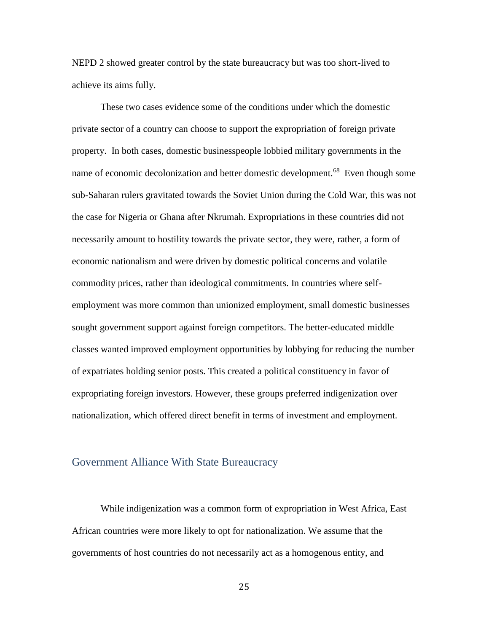NEPD 2 showed greater control by the state bureaucracy but was too short-lived to achieve its aims fully.

These two cases evidence some of the conditions under which the domestic private sector of a country can choose to support the expropriation of foreign private property. In both cases, domestic businesspeople lobbied military governments in the name of economic decolonization and better domestic development.<sup>68</sup> Even though some sub-Saharan rulers gravitated towards the Soviet Union during the Cold War, this was not the case for Nigeria or Ghana after Nkrumah. Expropriations in these countries did not necessarily amount to hostility towards the private sector, they were, rather, a form of economic nationalism and were driven by domestic political concerns and volatile commodity prices, rather than ideological commitments. In countries where selfemployment was more common than unionized employment, small domestic businesses sought government support against foreign competitors. The better-educated middle classes wanted improved employment opportunities by lobbying for reducing the number of expatriates holding senior posts. This created a political constituency in favor of expropriating foreign investors. However, these groups preferred indigenization over nationalization, which offered direct benefit in terms of investment and employment.

#### Government Alliance With State Bureaucracy

While indigenization was a common form of expropriation in West Africa, East African countries were more likely to opt for nationalization. We assume that the governments of host countries do not necessarily act as a homogenous entity, and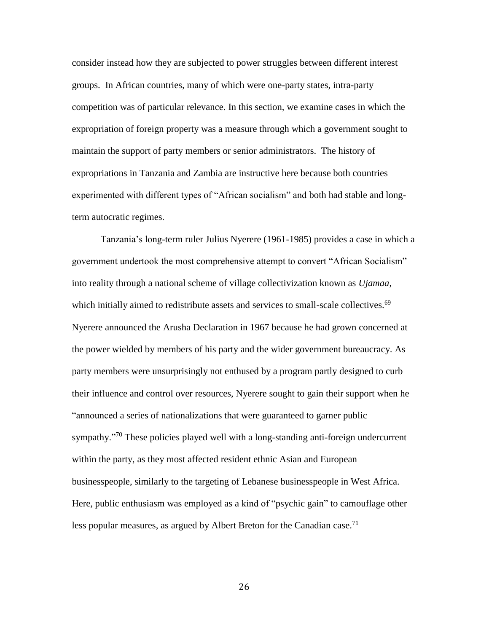consider instead how they are subjected to power struggles between different interest groups. In African countries, many of which were one-party states, intra-party competition was of particular relevance. In this section, we examine cases in which the expropriation of foreign property was a measure through which a government sought to maintain the support of party members or senior administrators. The history of expropriations in Tanzania and Zambia are instructive here because both countries experimented with different types of "African socialism" and both had stable and longterm autocratic regimes.

Tanzania's long-term ruler Julius Nyerere (1961-1985) provides a case in which a government undertook the most comprehensive attempt to convert "African Socialism" into reality through a national scheme of village collectivization known as *Ujamaa*, which initially aimed to redistribute assets and services to small-scale collectives.<sup>69</sup> Nyerere announced the Arusha Declaration in 1967 because he had grown concerned at the power wielded by members of his party and the wider government bureaucracy. As party members were unsurprisingly not enthused by a program partly designed to curb their influence and control over resources, Nyerere sought to gain their support when he "announced a series of nationalizations that were guaranteed to garner public sympathy."<sup>70</sup> These policies played well with a long-standing anti-foreign undercurrent within the party, as they most affected resident ethnic Asian and European businesspeople, similarly to the targeting of Lebanese businesspeople in West Africa. Here, public enthusiasm was employed as a kind of "psychic gain" to camouflage other less popular measures, as argued by Albert Breton for the Canadian case.<sup>71</sup>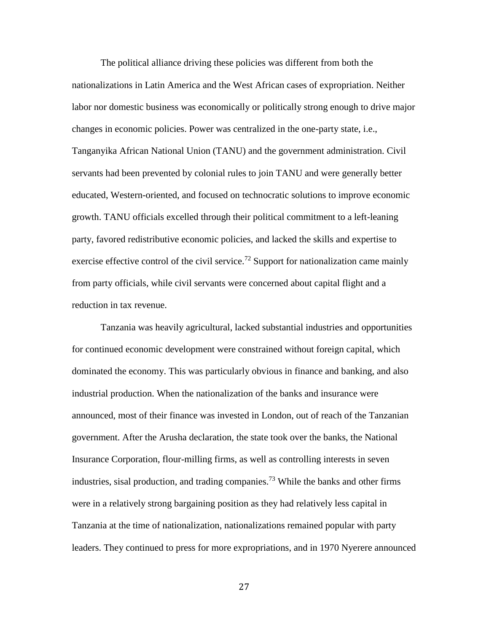The political alliance driving these policies was different from both the nationalizations in Latin America and the West African cases of expropriation. Neither labor nor domestic business was economically or politically strong enough to drive major changes in economic policies. Power was centralized in the one-party state, i.e., Tanganyika African National Union (TANU) and the government administration. Civil servants had been prevented by colonial rules to join TANU and were generally better educated, Western-oriented, and focused on technocratic solutions to improve economic growth. TANU officials excelled through their political commitment to a left-leaning party, favored redistributive economic policies, and lacked the skills and expertise to exercise effective control of the civil service.<sup>72</sup> Support for nationalization came mainly from party officials, while civil servants were concerned about capital flight and a reduction in tax revenue.

Tanzania was heavily agricultural, lacked substantial industries and opportunities for continued economic development were constrained without foreign capital, which dominated the economy. This was particularly obvious in finance and banking, and also industrial production. When the nationalization of the banks and insurance were announced, most of their finance was invested in London, out of reach of the Tanzanian government. After the Arusha declaration, the state took over the banks, the National Insurance Corporation, flour-milling firms, as well as controlling interests in seven industries, sisal production, and trading companies.<sup>73</sup> While the banks and other firms were in a relatively strong bargaining position as they had relatively less capital in Tanzania at the time of nationalization, nationalizations remained popular with party leaders. They continued to press for more expropriations, and in 1970 Nyerere announced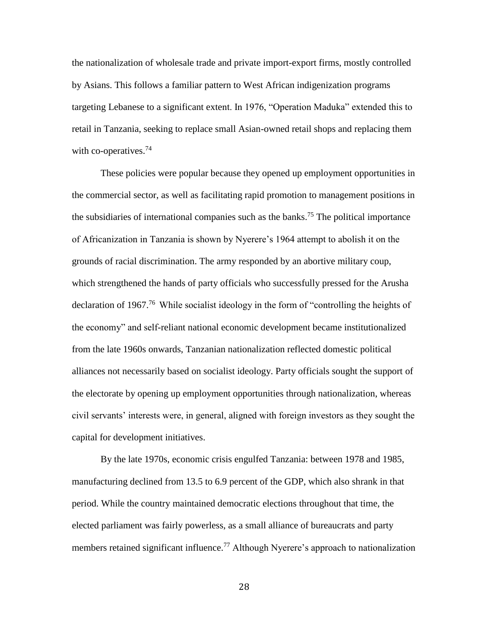the nationalization of wholesale trade and private import-export firms, mostly controlled by Asians. This follows a familiar pattern to West African indigenization programs targeting Lebanese to a significant extent. In 1976, "Operation Maduka" extended this to retail in Tanzania, seeking to replace small Asian-owned retail shops and replacing them with co-operatives. $74$ 

These policies were popular because they opened up employment opportunities in the commercial sector, as well as facilitating rapid promotion to management positions in the subsidiaries of international companies such as the banks.<sup>75</sup> The political importance of Africanization in Tanzania is shown by Nyerere's 1964 attempt to abolish it on the grounds of racial discrimination. The army responded by an abortive military coup, which strengthened the hands of party officials who successfully pressed for the Arusha declaration of 1967.<sup>76</sup> While socialist ideology in the form of "controlling the heights of the economy" and self-reliant national economic development became institutionalized from the late 1960s onwards, Tanzanian nationalization reflected domestic political alliances not necessarily based on socialist ideology. Party officials sought the support of the electorate by opening up employment opportunities through nationalization, whereas civil servants' interests were, in general, aligned with foreign investors as they sought the capital for development initiatives.

By the late 1970s, economic crisis engulfed Tanzania: between 1978 and 1985, manufacturing declined from 13.5 to 6.9 percent of the GDP, which also shrank in that period. While the country maintained democratic elections throughout that time, the elected parliament was fairly powerless, as a small alliance of bureaucrats and party members retained significant influence.<sup>77</sup> Although Nyerere's approach to nationalization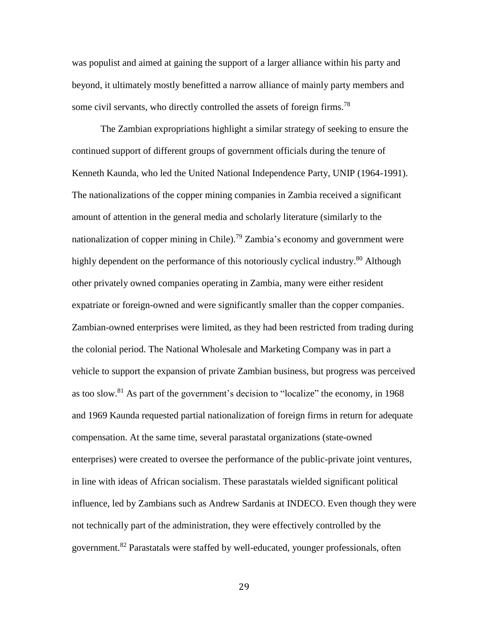was populist and aimed at gaining the support of a larger alliance within his party and beyond, it ultimately mostly benefitted a narrow alliance of mainly party members and some civil servants, who directly controlled the assets of foreign firms.<sup>78</sup>

The Zambian expropriations highlight a similar strategy of seeking to ensure the continued support of different groups of government officials during the tenure of Kenneth Kaunda, who led the United National Independence Party, UNIP (1964-1991). The nationalizations of the copper mining companies in Zambia received a significant amount of attention in the general media and scholarly literature (similarly to the nationalization of copper mining in Chile).<sup>79</sup> Zambia's economy and government were highly dependent on the performance of this notoriously cyclical industry.<sup>80</sup> Although other privately owned companies operating in Zambia, many were either resident expatriate or foreign-owned and were significantly smaller than the copper companies. Zambian-owned enterprises were limited, as they had been restricted from trading during the colonial period. The National Wholesale and Marketing Company was in part a vehicle to support the expansion of private Zambian business, but progress was perceived as too slow.<sup>81</sup> As part of the government's decision to "localize" the economy, in 1968 and 1969 Kaunda requested partial nationalization of foreign firms in return for adequate compensation. At the same time, several parastatal organizations (state-owned enterprises) were created to oversee the performance of the public-private joint ventures, in line with ideas of African socialism. These parastatals wielded significant political influence, led by Zambians such as Andrew Sardanis at INDECO. Even though they were not technically part of the administration, they were effectively controlled by the government.<sup>82</sup> Parastatals were staffed by well-educated, younger professionals, often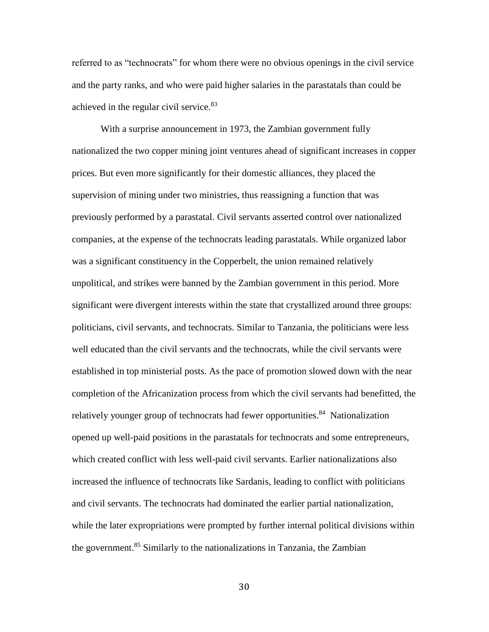referred to as "technocrats" for whom there were no obvious openings in the civil service and the party ranks, and who were paid higher salaries in the parastatals than could be achieved in the regular civil service.<sup>83</sup>

With a surprise announcement in 1973, the Zambian government fully nationalized the two copper mining joint ventures ahead of significant increases in copper prices. But even more significantly for their domestic alliances, they placed the supervision of mining under two ministries, thus reassigning a function that was previously performed by a parastatal. Civil servants asserted control over nationalized companies, at the expense of the technocrats leading parastatals. While organized labor was a significant constituency in the Copperbelt, the union remained relatively unpolitical, and strikes were banned by the Zambian government in this period. More significant were divergent interests within the state that crystallized around three groups: politicians, civil servants, and technocrats. Similar to Tanzania, the politicians were less well educated than the civil servants and the technocrats, while the civil servants were established in top ministerial posts. As the pace of promotion slowed down with the near completion of the Africanization process from which the civil servants had benefitted, the relatively younger group of technocrats had fewer opportunities.<sup>84</sup> Nationalization opened up well-paid positions in the parastatals for technocrats and some entrepreneurs, which created conflict with less well-paid civil servants. Earlier nationalizations also increased the influence of technocrats like Sardanis, leading to conflict with politicians and civil servants. The technocrats had dominated the earlier partial nationalization, while the later expropriations were prompted by further internal political divisions within the government.<sup>85</sup> Similarly to the nationalizations in Tanzania, the Zambian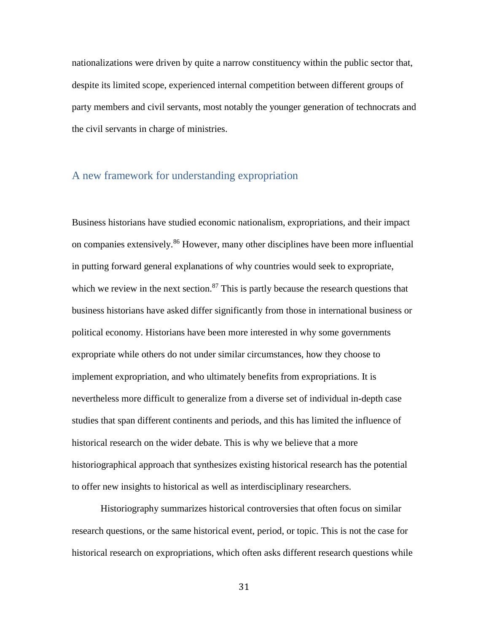nationalizations were driven by quite a narrow constituency within the public sector that, despite its limited scope, experienced internal competition between different groups of party members and civil servants, most notably the younger generation of technocrats and the civil servants in charge of ministries.

### A new framework for understanding expropriation

Business historians have studied economic nationalism, expropriations, and their impact on companies extensively.<sup>86</sup> However, many other disciplines have been more influential in putting forward general explanations of why countries would seek to expropriate, which we review in the next section.<sup>87</sup> This is partly because the research questions that business historians have asked differ significantly from those in international business or political economy. Historians have been more interested in why some governments expropriate while others do not under similar circumstances, how they choose to implement expropriation, and who ultimately benefits from expropriations. It is nevertheless more difficult to generalize from a diverse set of individual in-depth case studies that span different continents and periods, and this has limited the influence of historical research on the wider debate. This is why we believe that a more historiographical approach that synthesizes existing historical research has the potential to offer new insights to historical as well as interdisciplinary researchers.

Historiography summarizes historical controversies that often focus on similar research questions, or the same historical event, period, or topic. This is not the case for historical research on expropriations, which often asks different research questions while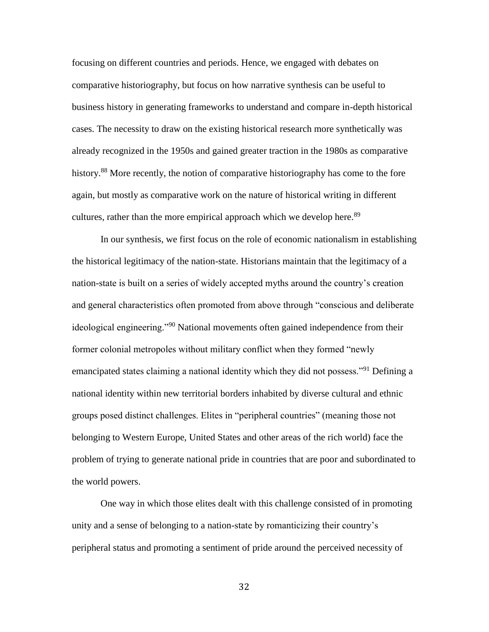focusing on different countries and periods. Hence, we engaged with debates on comparative historiography, but focus on how narrative synthesis can be useful to business history in generating frameworks to understand and compare in-depth historical cases. The necessity to draw on the existing historical research more synthetically was already recognized in the 1950s and gained greater traction in the 1980s as comparative history.<sup>88</sup> More recently, the notion of comparative historiography has come to the fore again, but mostly as comparative work on the nature of historical writing in different cultures, rather than the more empirical approach which we develop here.<sup>89</sup>

In our synthesis, we first focus on the role of economic nationalism in establishing the historical legitimacy of the nation-state. Historians maintain that the legitimacy of a nation-state is built on a series of widely accepted myths around the country's creation and general characteristics often promoted from above through "conscious and deliberate ideological engineering."<sup>90</sup> National movements often gained independence from their former colonial metropoles without military conflict when they formed "newly emancipated states claiming a national identity which they did not possess."<sup>91</sup> Defining a national identity within new territorial borders inhabited by diverse cultural and ethnic groups posed distinct challenges. Elites in "peripheral countries" (meaning those not belonging to Western Europe, United States and other areas of the rich world) face the problem of trying to generate national pride in countries that are poor and subordinated to the world powers.

One way in which those elites dealt with this challenge consisted of in promoting unity and a sense of belonging to a nation-state by romanticizing their country's peripheral status and promoting a sentiment of pride around the perceived necessity of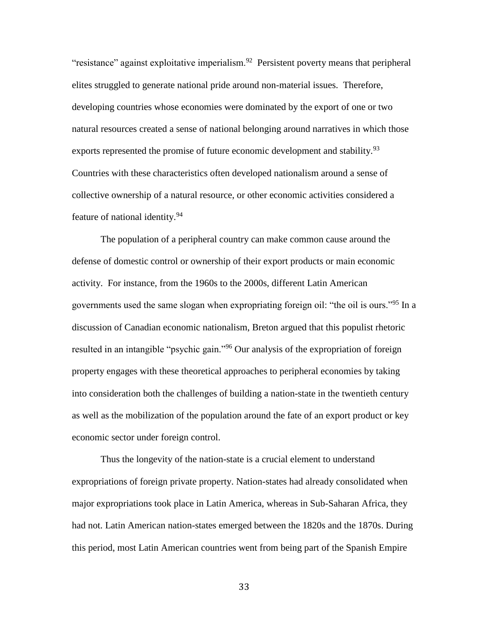"resistance" against exploitative imperialism. $92$  Persistent poverty means that peripheral elites struggled to generate national pride around non-material issues. Therefore, developing countries whose economies were dominated by the export of one or two natural resources created a sense of national belonging around narratives in which those exports represented the promise of future economic development and stability.<sup>93</sup> Countries with these characteristics often developed nationalism around a sense of collective ownership of a natural resource, or other economic activities considered a feature of national identity.<sup>94</sup>

The population of a peripheral country can make common cause around the defense of domestic control or ownership of their export products or main economic activity. For instance, from the 1960s to the 2000s, different Latin American governments used the same slogan when expropriating foreign oil: "the oil is ours."<sup>95</sup> In a discussion of Canadian economic nationalism, Breton argued that this populist rhetoric resulted in an intangible "psychic gain."<sup>96</sup> Our analysis of the expropriation of foreign property engages with these theoretical approaches to peripheral economies by taking into consideration both the challenges of building a nation-state in the twentieth century as well as the mobilization of the population around the fate of an export product or key economic sector under foreign control.

Thus the longevity of the nation-state is a crucial element to understand expropriations of foreign private property. Nation-states had already consolidated when major expropriations took place in Latin America, whereas in Sub-Saharan Africa, they had not. Latin American nation-states emerged between the 1820s and the 1870s. During this period, most Latin American countries went from being part of the Spanish Empire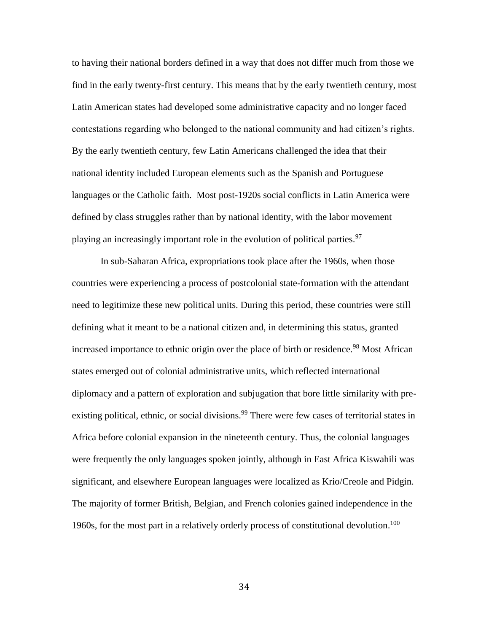to having their national borders defined in a way that does not differ much from those we find in the early twenty-first century. This means that by the early twentieth century, most Latin American states had developed some administrative capacity and no longer faced contestations regarding who belonged to the national community and had citizen's rights. By the early twentieth century, few Latin Americans challenged the idea that their national identity included European elements such as the Spanish and Portuguese languages or the Catholic faith. Most post-1920s social conflicts in Latin America were defined by class struggles rather than by national identity, with the labor movement playing an increasingly important role in the evolution of political parties.<sup>97</sup>

In sub-Saharan Africa, expropriations took place after the 1960s, when those countries were experiencing a process of postcolonial state-formation with the attendant need to legitimize these new political units. During this period, these countries were still defining what it meant to be a national citizen and, in determining this status, granted increased importance to ethnic origin over the place of birth or residence.<sup>98</sup> Most African states emerged out of colonial administrative units, which reflected international diplomacy and a pattern of exploration and subjugation that bore little similarity with preexisting political, ethnic, or social divisions.<sup>99</sup> There were few cases of territorial states in Africa before colonial expansion in the nineteenth century. Thus, the colonial languages were frequently the only languages spoken jointly, although in East Africa Kiswahili was significant, and elsewhere European languages were localized as Krio/Creole and Pidgin. The majority of former British, Belgian, and French colonies gained independence in the 1960s, for the most part in a relatively orderly process of constitutional devolution.<sup>100</sup>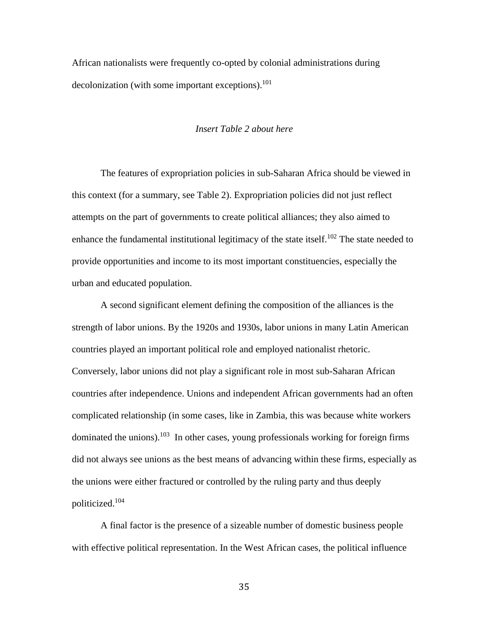African nationalists were frequently co-opted by colonial administrations during decolonization (with some important exceptions). $101$ 

#### *Insert Table 2 about here*

The features of expropriation policies in sub-Saharan Africa should be viewed in this context (for a summary, see Table 2). Expropriation policies did not just reflect attempts on the part of governments to create political alliances; they also aimed to enhance the fundamental institutional legitimacy of the state itself.<sup>102</sup> The state needed to provide opportunities and income to its most important constituencies, especially the urban and educated population.

A second significant element defining the composition of the alliances is the strength of labor unions. By the 1920s and 1930s, labor unions in many Latin American countries played an important political role and employed nationalist rhetoric. Conversely, labor unions did not play a significant role in most sub-Saharan African countries after independence. Unions and independent African governments had an often complicated relationship (in some cases, like in Zambia, this was because white workers dominated the unions).<sup>103</sup> In other cases, young professionals working for foreign firms did not always see unions as the best means of advancing within these firms, especially as the unions were either fractured or controlled by the ruling party and thus deeply politicized.<sup>104</sup>

A final factor is the presence of a sizeable number of domestic business people with effective political representation. In the West African cases, the political influence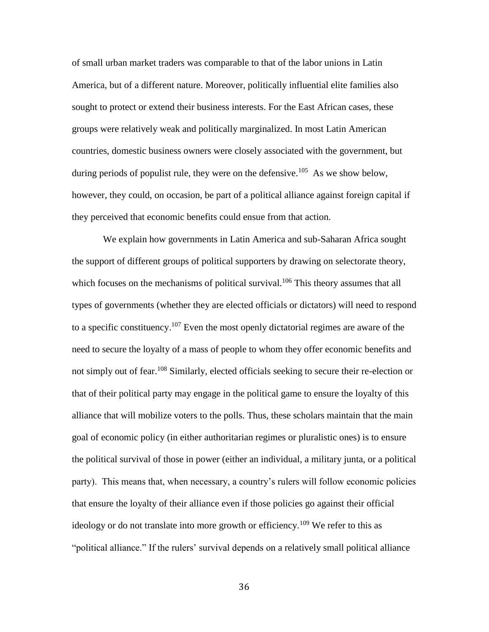of small urban market traders was comparable to that of the labor unions in Latin America, but of a different nature. Moreover, politically influential elite families also sought to protect or extend their business interests. For the East African cases, these groups were relatively weak and politically marginalized. In most Latin American countries, domestic business owners were closely associated with the government, but during periods of populist rule, they were on the defensive.<sup>105</sup> As we show below, however, they could, on occasion, be part of a political alliance against foreign capital if they perceived that economic benefits could ensue from that action.

We explain how governments in Latin America and sub-Saharan Africa sought the support of different groups of political supporters by drawing on selectorate theory, which focuses on the mechanisms of political survival.<sup>106</sup> This theory assumes that all types of governments (whether they are elected officials or dictators) will need to respond to a specific constituency.<sup>107</sup> Even the most openly dictatorial regimes are aware of the need to secure the loyalty of a mass of people to whom they offer economic benefits and not simply out of fear.<sup>108</sup> Similarly, elected officials seeking to secure their re-election or that of their political party may engage in the political game to ensure the loyalty of this alliance that will mobilize voters to the polls. Thus, these scholars maintain that the main goal of economic policy (in either authoritarian regimes or pluralistic ones) is to ensure the political survival of those in power (either an individual, a military junta, or a political party). This means that, when necessary, a country's rulers will follow economic policies that ensure the loyalty of their alliance even if those policies go against their official ideology or do not translate into more growth or efficiency.<sup>109</sup> We refer to this as "political alliance." If the rulers' survival depends on a relatively small political alliance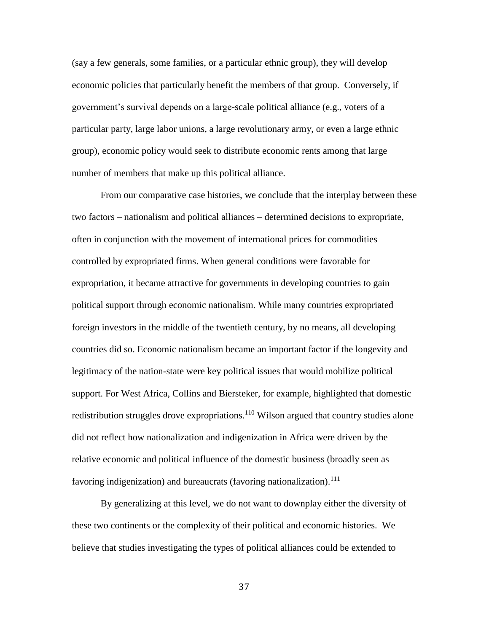(say a few generals, some families, or a particular ethnic group), they will develop economic policies that particularly benefit the members of that group. Conversely, if government's survival depends on a large-scale political alliance (e.g., voters of a particular party, large labor unions, a large revolutionary army, or even a large ethnic group), economic policy would seek to distribute economic rents among that large number of members that make up this political alliance.

From our comparative case histories, we conclude that the interplay between these two factors – nationalism and political alliances – determined decisions to expropriate, often in conjunction with the movement of international prices for commodities controlled by expropriated firms. When general conditions were favorable for expropriation, it became attractive for governments in developing countries to gain political support through economic nationalism. While many countries expropriated foreign investors in the middle of the twentieth century, by no means, all developing countries did so. Economic nationalism became an important factor if the longevity and legitimacy of the nation-state were key political issues that would mobilize political support. For West Africa, Collins and Biersteker, for example, highlighted that domestic redistribution struggles drove expropriations.<sup>110</sup> Wilson argued that country studies alone did not reflect how nationalization and indigenization in Africa were driven by the relative economic and political influence of the domestic business (broadly seen as favoring indigenization) and bureaucrats (favoring nationalization).<sup>111</sup>

By generalizing at this level, we do not want to downplay either the diversity of these two continents or the complexity of their political and economic histories. We believe that studies investigating the types of political alliances could be extended to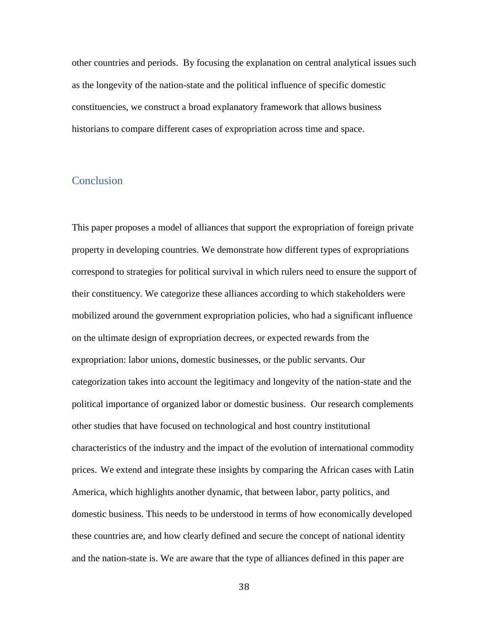other countries and periods. By focusing the explanation on central analytical issues such as the longevity of the nation-state and the political influence of specific domestic constituencies, we construct a broad explanatory framework that allows business historians to compare different cases of expropriation across time and space.

### **Conclusion**

This paper proposes a model of alliances that support the expropriation of foreign private property in developing countries. We demonstrate how different types of expropriations correspond to strategies for political survival in which rulers need to ensure the support of their constituency. We categorize these alliances according to which stakeholders were mobilized around the government expropriation policies, who had a significant influence on the ultimate design of expropriation decrees, or expected rewards from the expropriation: labor unions, domestic businesses, or the public servants. Our categorization takes into account the legitimacy and longevity of the nation-state and the political importance of organized labor or domestic business. Our research complements other studies that have focused on technological and host country institutional characteristics of the industry and the impact of the evolution of international commodity prices. We extend and integrate these insights by comparing the African cases with Latin America, which highlights another dynamic, that between labor, party politics, and domestic business. This needs to be understood in terms of how economically developed these countries are, and how clearly defined and secure the concept of national identity and the nation-state is. We are aware that the type of alliances defined in this paper are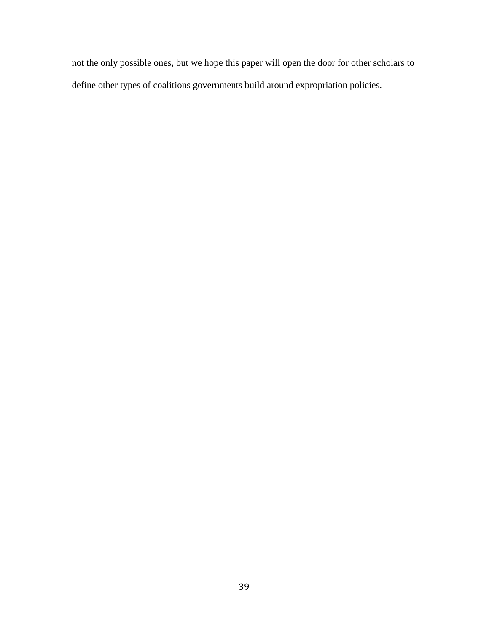not the only possible ones, but we hope this paper will open the door for other scholars to define other types of coalitions governments build around expropriation policies.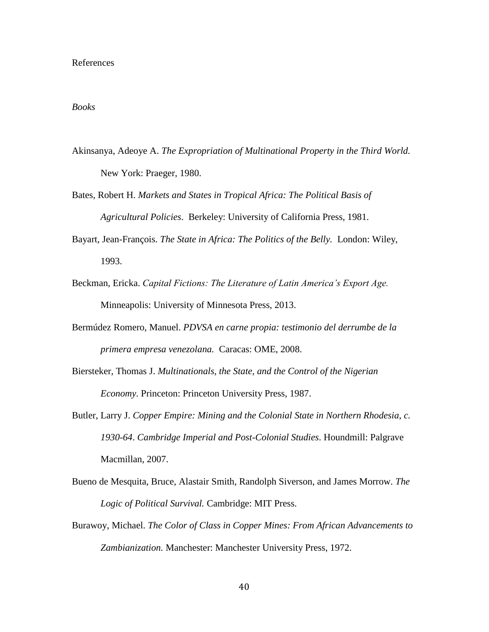#### References

#### *Books*

- Akinsanya, Adeoye A. *The Expropriation of Multinational Property in the Third World.*  New York: Praeger, 1980.
- Bates, Robert H. *Markets and States in Tropical Africa: The Political Basis of Agricultural Policies*. Berkeley: University of California Press, 1981.
- Bayart, Jean-François. *The State in Africa: The Politics of the Belly.* London: Wiley, 1993.
- Beckman, Ericka. *Capital Fictions: The Literature of Latin America's Export Age.*  Minneapolis: University of Minnesota Press, 2013.
- Bermúdez Romero, Manuel. *PDVSA en carne propia: testimonio del derrumbe de la primera empresa venezolana.* Caracas: OME, 2008.
- Biersteker, Thomas J. *Multinationals, the State, and the Control of the Nigerian Economy*. Princeton: Princeton University Press, 1987.
- Butler, Larry J. *Copper Empire: Mining and the Colonial State in Northern Rhodesia, c. 1930-64*. *Cambridge Imperial and Post-Colonial Studies*. Houndmill: Palgrave Macmillan, 2007.
- Bueno de Mesquita, Bruce, Alastair Smith, Randolph Siverson, and James Morrow. *The Logic of Political Survival.* Cambridge: MIT Press.
- Burawoy, Michael. *The Color of Class in Copper Mines: From African Advancements to Zambianization.* Manchester: Manchester University Press, 1972.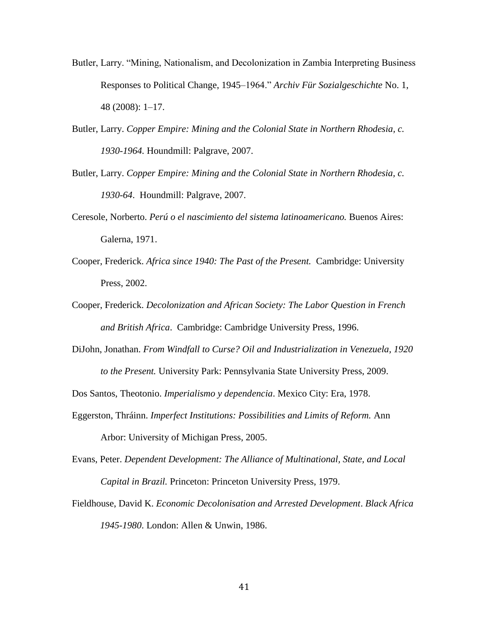- Butler, Larry. "Mining, Nationalism, and Decolonization in Zambia Interpreting Business Responses to Political Change, 1945–1964." *Archiv Für Sozialgeschichte* No. 1, 48 (2008): 1–17.
- Butler, Larry. *Copper Empire: Mining and the Colonial State in Northern Rhodesia, c. 1930-1964.* Houndmill: Palgrave, 2007.
- Butler, Larry. *Copper Empire: Mining and the Colonial State in Northern Rhodesia, c. 1930-64*. Houndmill: Palgrave, 2007.
- Ceresole, Norberto. *Perú o el nascimiento del sistema latinoamericano.* Buenos Aires: Galerna, 1971.
- Cooper, Frederick. *Africa since 1940: The Past of the Present.* Cambridge: University Press, 2002.
- Cooper, Frederick. *Decolonization and African Society: The Labor Question in French and British Africa*. Cambridge: Cambridge University Press, 1996.
- DiJohn, Jonathan. *From Windfall to Curse? Oil and Industrialization in Venezuela, 1920 to the Present.* University Park: Pennsylvania State University Press, 2009.

Dos Santos, Theotonio. *Imperialismo y dependencia*. Mexico City: Era, 1978.

- Eggerston, Thráinn. *Imperfect Institutions: Possibilities and Limits of Reform.* Ann Arbor: University of Michigan Press, 2005.
- Evans, Peter. *Dependent Development: The Alliance of Multinational, State, and Local Capital in Brazil.* Princeton: Princeton University Press, 1979.
- Fieldhouse, David K. *Economic Decolonisation and Arrested Development*. *Black Africa 1945-1980*. London: Allen & Unwin, 1986.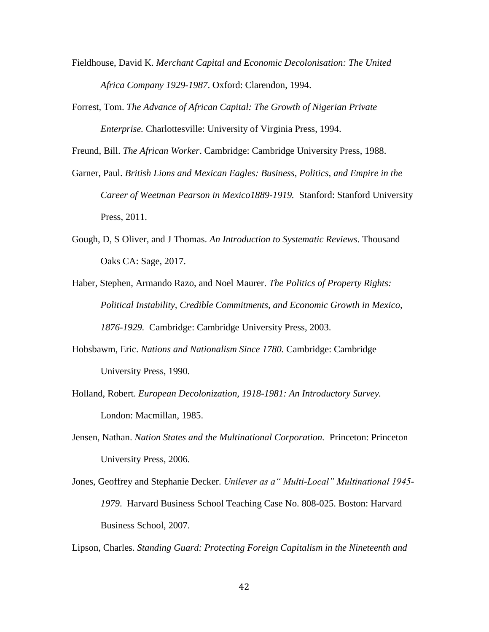- Fieldhouse, David K. *Merchant Capital and Economic Decolonisation: The United Africa Company 1929-1987*. Oxford: Clarendon, 1994.
- Forrest, Tom. *The Advance of African Capital: The Growth of Nigerian Private Enterprise.* Charlottesville: University of Virginia Press, 1994.

Freund, Bill. *The African Worker*. Cambridge: Cambridge University Press, 1988.

- Garner, Paul. *British Lions and Mexican Eagles: Business, Politics, and Empire in the Career of Weetman Pearson in Mexico1889-1919.* Stanford: Stanford University Press, 2011.
- Gough, D, S Oliver, and J Thomas. *An Introduction to Systematic Reviews*. Thousand Oaks CA: Sage, 2017.
- Haber, Stephen, Armando Razo, and Noel Maurer. *The Politics of Property Rights: Political Instability, Credible Commitments, and Economic Growth in Mexico, 1876-1929.* Cambridge: Cambridge University Press, 2003.
- Hobsbawm, Eric. *Nations and Nationalism Since 1780.* Cambridge: Cambridge University Press, 1990.
- Holland, Robert. *European Decolonization, 1918-1981: An Introductory Survey.*  London: Macmillan, 1985.
- Jensen, Nathan. *Nation States and the Multinational Corporation.* Princeton: Princeton University Press, 2006.
- Jones, Geoffrey and Stephanie Decker. *Unilever as a" Multi-Local" Multinational 1945- 1979*. Harvard Business School Teaching Case No. 808-025. Boston: Harvard Business School, 2007.

Lipson, Charles. *Standing Guard: Protecting Foreign Capitalism in the Nineteenth and*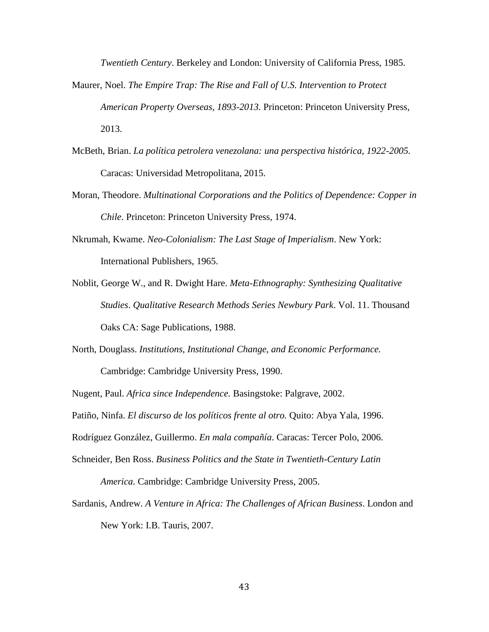*Twentieth Century*. Berkeley and London: University of California Press, 1985.

- Maurer, Noel. *The Empire Trap: The Rise and Fall of U.S. Intervention to Protect American Property Overseas, 1893-2013.* Princeton: Princeton University Press, 2013.
- McBeth, Brian. *La política petrolera venezolana: una perspectiva histórica, 1922-2005.*  Caracas: Universidad Metropolitana, 2015.
- Moran, Theodore. *Multinational Corporations and the Politics of Dependence: Copper in Chile*. Princeton: Princeton University Press, 1974.
- Nkrumah, Kwame. *Neo-Colonialism: The Last Stage of Imperialism*. New York: International Publishers, 1965.
- Noblit, George W., and R. Dwight Hare. *Meta-Ethnography: Synthesizing Qualitative Studies*. *Qualitative Research Methods Series Newbury Park*. Vol. 11. Thousand Oaks CA: Sage Publications, 1988.
- North, Douglass. *Institutions, Institutional Change, and Economic Performance.*  Cambridge: Cambridge University Press, 1990.

Nugent, Paul. *Africa since Independence.* Basingstoke: Palgrave, 2002.

Patiño, Ninfa. *El discurso de los políticos frente al otro.* Quito: Abya Yala, 1996.

Rodríguez González, Guillermo. *En mala compañía*. Caracas: Tercer Polo, 2006.

- Schneider, Ben Ross. *Business Politics and the State in Twentieth-Century Latin America.* Cambridge: Cambridge University Press, 2005.
- Sardanis, Andrew. *A Venture in Africa: The Challenges of African Business*. London and New York: I.B. Tauris, 2007.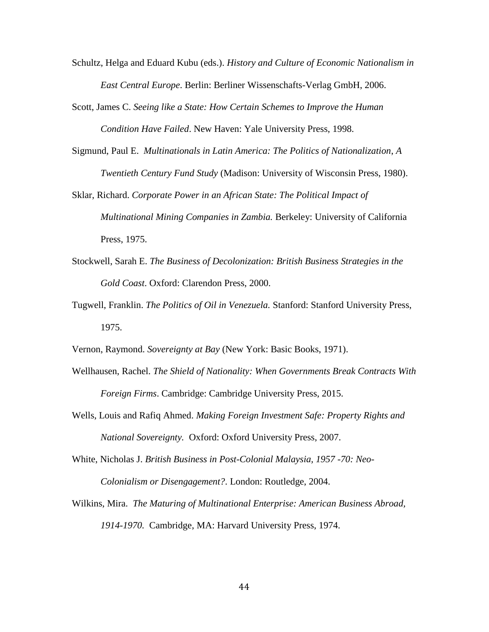- Schultz, Helga and Eduard Kubu (eds.). *History and Culture of Economic Nationalism in East Central Europe*. Berlin: Berliner Wissenschafts-Verlag GmbH, 2006.
- Scott, James C. *Seeing like a State: How Certain Schemes to Improve the Human Condition Have Failed*. New Haven: Yale University Press, 1998.
- Sigmund, Paul E. *Multinationals in Latin America: The Politics of Nationalization*, *A Twentieth Century Fund Study* (Madison: University of Wisconsin Press, 1980).
- Sklar, Richard. *Corporate Power in an African State: The Political Impact of Multinational Mining Companies in Zambia.* Berkeley: University of California Press, 1975.
- Stockwell, Sarah E. *The Business of Decolonization: British Business Strategies in the Gold Coast*. Oxford: Clarendon Press, 2000.
- Tugwell, Franklin. *The Politics of Oil in Venezuela.* Stanford: Stanford University Press, 1975.
- Vernon, Raymond. *Sovereignty at Bay* (New York: Basic Books, 1971).
- Wellhausen, Rachel. *The Shield of Nationality: When Governments Break Contracts With Foreign Firms*. Cambridge: Cambridge University Press, 2015.
- Wells, Louis and Rafiq Ahmed. *Making Foreign Investment Safe: Property Rights and National Sovereignty.* Oxford: Oxford University Press, 2007.
- White, Nicholas J. *British Business in Post-Colonial Malaysia, 1957 -70: Neo-Colonialism or Disengagement?*. London: Routledge, 2004.
- Wilkins, Mira. *The Maturing of Multinational Enterprise: American Business Abroad, 1914-1970.* Cambridge, MA: Harvard University Press, 1974.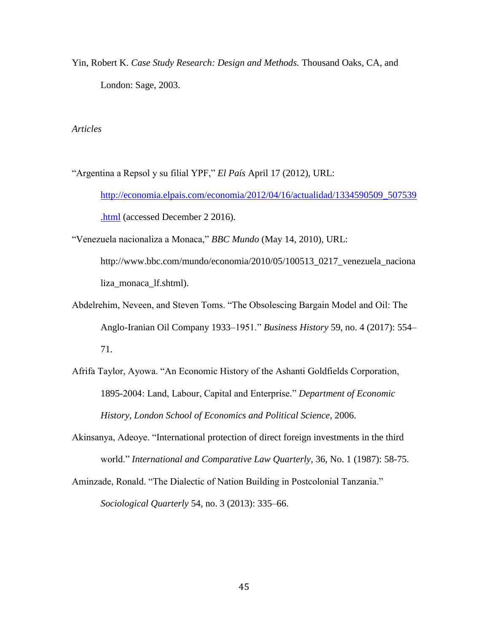Yin, Robert K. *Case Study Research: Design and Methods.* Thousand Oaks, CA, and London: Sage, 2003.

*Articles*

"Argentina a Repsol y su filial YPF," *El País* April 17 (2012), URL: [http://economia.elpais.com/economia/2012/04/16/actualidad/1334590509\\_507539](http://economia.elpais.com/economia/2012/04/16/actualidad/1334590509_507539.html) [.html](http://economia.elpais.com/economia/2012/04/16/actualidad/1334590509_507539.html) (accessed December 2 2016).

"Venezuela nacionaliza a Monaca," *BBC Mundo* (May 14, 2010), URL:

http://www.bbc.com/mundo/economia/2010/05/100513\_0217\_venezuela\_naciona liza\_monaca\_lf.shtml).

- Abdelrehim, Neveen, and Steven Toms. "The Obsolescing Bargain Model and Oil: The Anglo-Iranian Oil Company 1933–1951." *Business History* 59, no. 4 (2017): 554– 71.
- Afrifa Taylor, Ayowa. "An Economic History of the Ashanti Goldfields Corporation, 1895-2004: Land, Labour, Capital and Enterprise." *Department of Economic History, London School of Economics and Political Science*, 2006.
- Akinsanya, Adeoye. "International protection of direct foreign investments in the third world." *International and Comparative Law Quarterly*, 36, No. 1 (1987): 58-75.
- Aminzade, Ronald. "The Dialectic of Nation Building in Postcolonial Tanzania." *Sociological Quarterly* 54, no. 3 (2013): 335–66.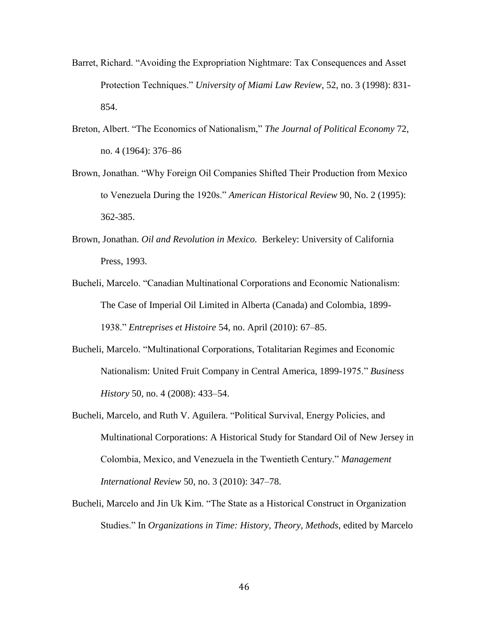- Barret, Richard. "Avoiding the Expropriation Nightmare: Tax Consequences and Asset Protection Techniques." *University of Miami Law Review*, 52, no. 3 (1998): 831- 854.
- Breton, Albert. "The Economics of Nationalism," *The Journal of Political Economy* 72, no. 4 (1964): 376–86
- Brown, Jonathan. "Why Foreign Oil Companies Shifted Their Production from Mexico to Venezuela During the 1920s." *American Historical Review* 90, No. 2 (1995): 362-385.
- Brown, Jonathan. *Oil and Revolution in Mexico.* Berkeley: University of California Press, 1993.
- Bucheli, Marcelo. "Canadian Multinational Corporations and Economic Nationalism: The Case of Imperial Oil Limited in Alberta (Canada) and Colombia, 1899- 1938." *Entreprises et Histoire* 54, no. April (2010): 67–85.
- Bucheli, Marcelo. "Multinational Corporations, Totalitarian Regimes and Economic Nationalism: United Fruit Company in Central America, 1899-1975." *Business History* 50, no. 4 (2008): 433–54.
- Bucheli, Marcelo, and Ruth V. Aguilera. "Political Survival, Energy Policies, and Multinational Corporations: A Historical Study for Standard Oil of New Jersey in Colombia, Mexico, and Venezuela in the Twentieth Century." *Management International Review* 50, no. 3 (2010): 347–78.
- Bucheli, Marcelo and Jin Uk Kim. "The State as a Historical Construct in Organization Studies." In *Organizations in Time: History, Theory, Methods,* edited by Marcelo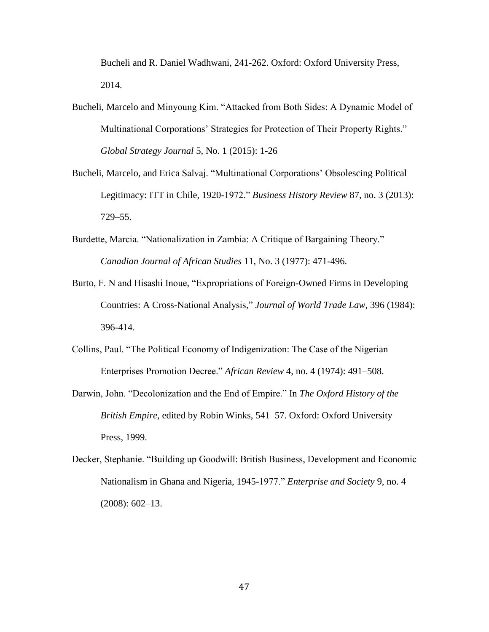Bucheli and R. Daniel Wadhwani, 241-262. Oxford: Oxford University Press, 2014.

- Bucheli, Marcelo and Minyoung Kim. "Attacked from Both Sides: A Dynamic Model of Multinational Corporations' Strategies for Protection of Their Property Rights." *Global Strategy Journal* 5, No. 1 (2015): 1-26
- Bucheli, Marcelo, and Erica Salvaj. "Multinational Corporations' Obsolescing Political Legitimacy: ITT in Chile, 1920-1972." *Business History Review* 87, no. 3 (2013): 729–55.
- Burdette, Marcia. "Nationalization in Zambia: A Critique of Bargaining Theory." *Canadian Journal of African Studies* 11, No. 3 (1977): 471-496.
- Burto, F. N and Hisashi Inoue, "Expropriations of Foreign-Owned Firms in Developing Countries: A Cross-National Analysis," *Journal of World Trade Law*, 396 (1984): 396-414.
- Collins, Paul. "The Political Economy of Indigenization: The Case of the Nigerian Enterprises Promotion Decree." *African Review* 4, no. 4 (1974): 491–508.
- Darwin, John. "Decolonization and the End of Empire." In *The Oxford History of the British Empire*, edited by Robin Winks, 541–57. Oxford: Oxford University Press, 1999.
- Decker, Stephanie. "Building up Goodwill: British Business, Development and Economic Nationalism in Ghana and Nigeria, 1945-1977." *Enterprise and Society* 9, no. 4 (2008): 602–13.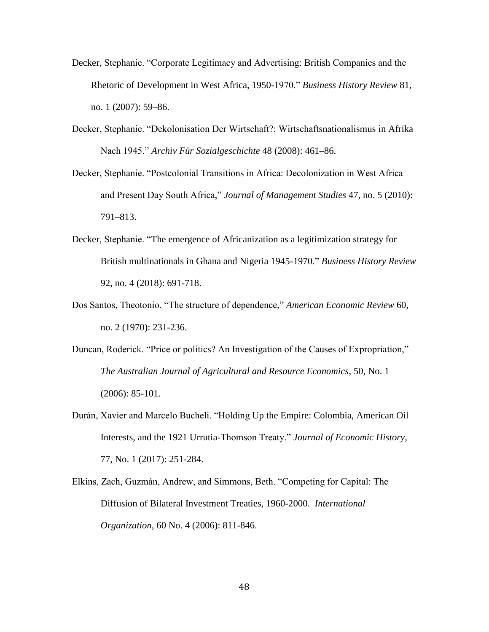- Decker, Stephanie. "Corporate Legitimacy and Advertising: British Companies and the Rhetoric of Development in West Africa, 1950-1970." *Business History Review* 81, no. 1 (2007): 59–86.
- Decker, Stephanie. "Dekolonisation Der Wirtschaft?: Wirtschaftsnationalismus in Afrika Nach 1945." *Archiv Für Sozialgeschichte* 48 (2008): 461–86.
- Decker, Stephanie. "Postcolonial Transitions in Africa: Decolonization in West Africa and Present Day South Africa," *Journal of Management Studies* 47, no. 5 (2010): 791–813.
- Decker, Stephanie. "The emergence of Africanization as a legitimization strategy for British multinationals in Ghana and Nigeria 1945-1970." *Business History Review* 92, no. 4 (2018): 691-718.
- Dos Santos, Theotonio. "The structure of dependence," *American Economic Review* 60, no. 2 (1970): 231-236.
- Duncan, Roderick. "Price or politics? An Investigation of the Causes of Expropriation," *The Australian Journal of Agricultural and Resource Economics*, 50, No. 1 (2006): 85-101.
- Durán, Xavier and Marcelo Bucheli. "Holding Up the Empire: Colombia, American Oil Interests, and the 1921 Urrutia-Thomson Treaty." *Journal of Economic History*, 77, No. 1 (2017): 251-284.
- Elkins, Zach, Guzmán, Andrew, and Simmons, Beth. "Competing for Capital: The Diffusion of Bilateral Investment Treaties, 1960-2000. *International Organization,* 60 No. 4 (2006): 811-846.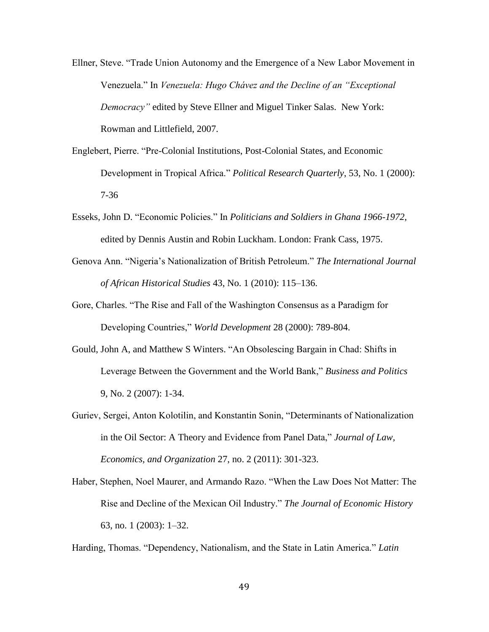- Ellner, Steve. "Trade Union Autonomy and the Emergence of a New Labor Movement in Venezuela." In *Venezuela: Hugo Chávez and the Decline of an "Exceptional Democracy"* edited by Steve Ellner and Miguel Tinker Salas. New York: Rowman and Littlefield, 2007.
- Englebert, Pierre. "Pre-Colonial Institutions, Post-Colonial States, and Economic Development in Tropical Africa." *Political Research Quarterly*, 53, No. 1 (2000): 7-36
- Esseks, John D. "Economic Policies." In *Politicians and Soldiers in Ghana 1966-1972*, edited by Dennis Austin and Robin Luckham. London: Frank Cass, 1975.
- Genova Ann. "Nigeria's Nationalization of British Petroleum." *The International Journal of African Historical Studies* 43, No. 1 (2010): 115–136.
- Gore, Charles. "The Rise and Fall of the Washington Consensus as a Paradigm for Developing Countries," *World Development* 28 (2000): 789-804.
- Gould, John A, and Matthew S Winters. "An Obsolescing Bargain in Chad: Shifts in Leverage Between the Government and the World Bank," *Business and Politics* 9, No. 2 (2007): 1-34.
- Guriev, Sergei, Anton Kolotilin, and Konstantin Sonin, "Determinants of Nationalization in the Oil Sector: A Theory and Evidence from Panel Data," *Journal of Law, Economics, and Organization* 27, no. 2 (2011): 301-323.
- Haber, Stephen, Noel Maurer, and Armando Razo. "When the Law Does Not Matter: The Rise and Decline of the Mexican Oil Industry." *The Journal of Economic History* 63, no. 1 (2003): 1–32.

Harding, Thomas. "Dependency, Nationalism, and the State in Latin America." *Latin*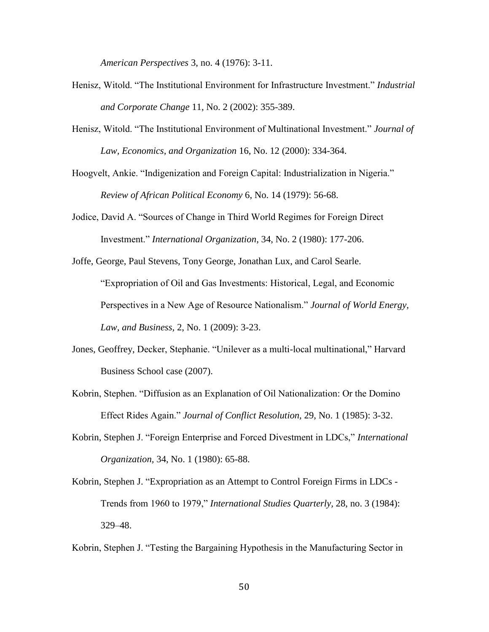*American Perspectives* 3, no. 4 (1976): 3-11.

- Henisz, Witold. "The Institutional Environment for Infrastructure Investment." *Industrial and Corporate Change* 11, No. 2 (2002): 355-389.
- Henisz, Witold. "The Institutional Environment of Multinational Investment." *Journal of Law, Economics, and Organization* 16, No. 12 (2000): 334-364.

Hoogvelt, Ankie. "Indigenization and Foreign Capital: Industrialization in Nigeria." *Review of African Political Economy* 6, No. 14 (1979): 56-68.

Jodice, David A. "Sources of Change in Third World Regimes for Foreign Direct Investment." *International Organization*, 34, No. 2 (1980): 177-206.

Joffe, George, Paul Stevens, Tony George, Jonathan Lux, and Carol Searle. "Expropriation of Oil and Gas Investments: Historical, Legal, and Economic Perspectives in a New Age of Resource Nationalism." *Journal of World Energy, Law, and Business,* 2, No. 1 (2009): 3-23.

- Jones, Geoffrey, Decker, Stephanie. "Unilever as a multi-local multinational," Harvard Business School case (2007).
- Kobrin, Stephen. "Diffusion as an Explanation of Oil Nationalization: Or the Domino Effect Rides Again." *Journal of Conflict Resolution,* 29, No. 1 (1985): 3-32.
- Kobrin, Stephen J. "Foreign Enterprise and Forced Divestment in LDCs," *International Organization,* 34, No. 1 (1980): 65-88.
- Kobrin, Stephen J. "Expropriation as an Attempt to Control Foreign Firms in LDCs Trends from 1960 to 1979," *International Studies Quarterly,* 28, no. 3 (1984): 329–48.

Kobrin, Stephen J. "Testing the Bargaining Hypothesis in the Manufacturing Sector in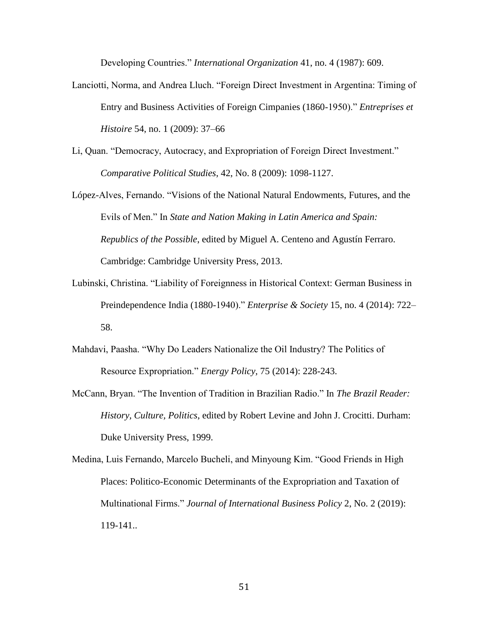Developing Countries." *International Organization* 41, no. 4 (1987): 609.

- Lanciotti, Norma, and Andrea Lluch. "Foreign Direct Investment in Argentina: Timing of Entry and Business Activities of Foreign Cimpanies (1860-1950)." *Entreprises et Histoire* 54, no. 1 (2009): 37–66
- Li, Quan. "Democracy, Autocracy, and Expropriation of Foreign Direct Investment." *Comparative Political Studies*, 42, No. 8 (2009): 1098-1127.
- López-Alves, Fernando. "Visions of the National Natural Endowments, Futures, and the Evils of Men." In *State and Nation Making in Latin America and Spain: Republics of the Possible*, edited by Miguel A. Centeno and Agustín Ferraro. Cambridge: Cambridge University Press, 2013.
- Lubinski, Christina. "Liability of Foreignness in Historical Context: German Business in Preindependence India (1880-1940)." *Enterprise & Society* 15, no. 4 (2014): 722– 58.
- Mahdavi, Paasha. "Why Do Leaders Nationalize the Oil Industry? The Politics of Resource Expropriation." *Energy Policy,* 75 (2014): 228-243.
- McCann, Bryan. "The Invention of Tradition in Brazilian Radio." In *The Brazil Reader: History, Culture, Politics*, edited by Robert Levine and John J. Crocitti. Durham: Duke University Press, 1999.
- Medina, Luis Fernando, Marcelo Bucheli, and Minyoung Kim. "Good Friends in High Places: Politico-Economic Determinants of the Expropriation and Taxation of Multinational Firms." *Journal of International Business Policy* 2, No. 2 (2019): 119-141..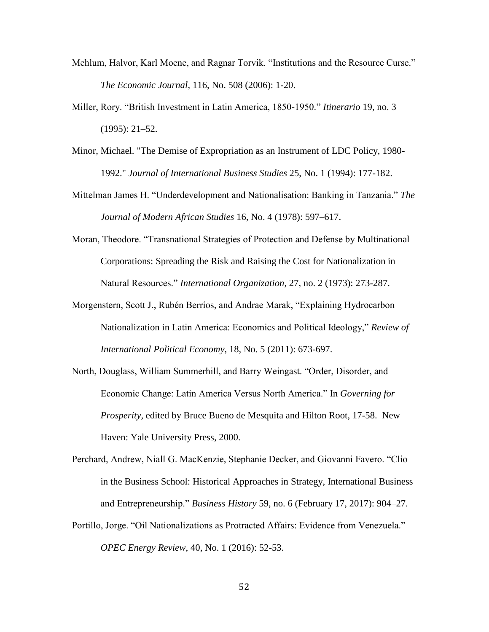- Mehlum, Halvor, Karl Moene, and Ragnar Torvik. "Institutions and the Resource Curse." *The Economic Journal*, 116, No. 508 (2006): 1-20.
- Miller, Rory. "British Investment in Latin America, 1850-1950." *Itinerario* 19, no. 3 (1995): 21–52.
- Minor, Michael. "The Demise of Expropriation as an Instrument of LDC Policy, 1980- 1992." *Journal of International Business Studies* 25, No. 1 (1994): 177-182.
- Mittelman James H. "Underdevelopment and Nationalisation: Banking in Tanzania." *The Journal of Modern African Studies* 16, No. 4 (1978): 597–617.
- Moran, Theodore. "Transnational Strategies of Protection and Defense by Multinational Corporations: Spreading the Risk and Raising the Cost for Nationalization in Natural Resources." *International Organization*, 27, no. 2 (1973): 273-287.
- Morgenstern, Scott J., Rubén Berríos, and Andrae Marak, "Explaining Hydrocarbon Nationalization in Latin America: Economics and Political Ideology," *Review of International Political Economy*, 18, No. 5 (2011): 673-697.
- North, Douglass, William Summerhill, and Barry Weingast. "Order, Disorder, and Economic Change: Latin America Versus North America." In *Governing for Prosperity,* edited by Bruce Bueno de Mesquita and Hilton Root, 17-58. New Haven: Yale University Press, 2000.
- Perchard, Andrew, Niall G. MacKenzie, Stephanie Decker, and Giovanni Favero. "Clio in the Business School: Historical Approaches in Strategy, International Business and Entrepreneurship." *Business History* 59, no. 6 (February 17, 2017): 904–27.
- Portillo, Jorge. "Oil Nationalizations as Protracted Affairs: Evidence from Venezuela." *OPEC Energy Review*, 40, No. 1 (2016): 52-53.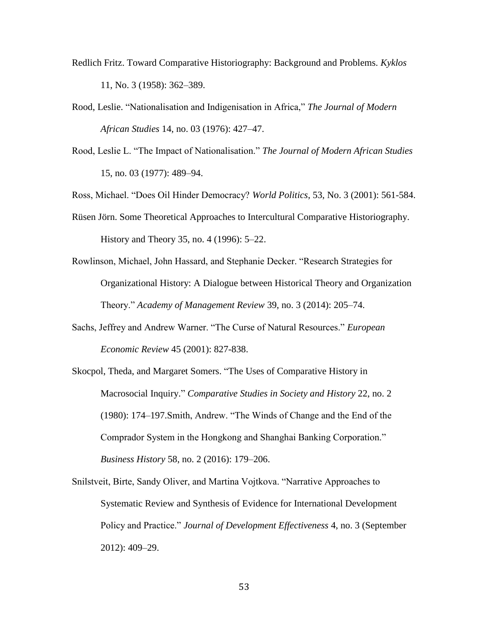- Redlich Fritz. Toward Comparative Historiography: Background and Problems. *Kyklos* 11, No. 3 (1958): 362–389.
- Rood, Leslie. "Nationalisation and Indigenisation in Africa," *The Journal of Modern African Studies* 14, no. 03 (1976): 427–47.
- Rood, Leslie L. "The Impact of Nationalisation." *The Journal of Modern African Studies* 15, no. 03 (1977): 489–94.

Ross, Michael. "Does Oil Hinder Democracy? *World Politics*, 53, No. 3 (2001): 561-584.

- Rüsen Jörn. Some Theoretical Approaches to Intercultural Comparative Historiography. History and Theory 35, no. 4 (1996): 5–22.
- Rowlinson, Michael, John Hassard, and Stephanie Decker. "Research Strategies for Organizational History: A Dialogue between Historical Theory and Organization Theory." *Academy of Management Review* 39, no. 3 (2014): 205–74.
- Sachs, Jeffrey and Andrew Warner. "The Curse of Natural Resources." *European Economic Review* 45 (2001): 827-838.
- Skocpol, Theda, and Margaret Somers. "The Uses of Comparative History in Macrosocial Inquiry." *Comparative Studies in Society and History* 22, no. 2 (1980): 174–197.Smith, Andrew. "The Winds of Change and the End of the Comprador System in the Hongkong and Shanghai Banking Corporation." *Business History* 58, no. 2 (2016): 179–206.
- Snilstveit, Birte, Sandy Oliver, and Martina Vojtkova. "Narrative Approaches to Systematic Review and Synthesis of Evidence for International Development Policy and Practice." *Journal of Development Effectiveness* 4, no. 3 (September 2012): 409–29.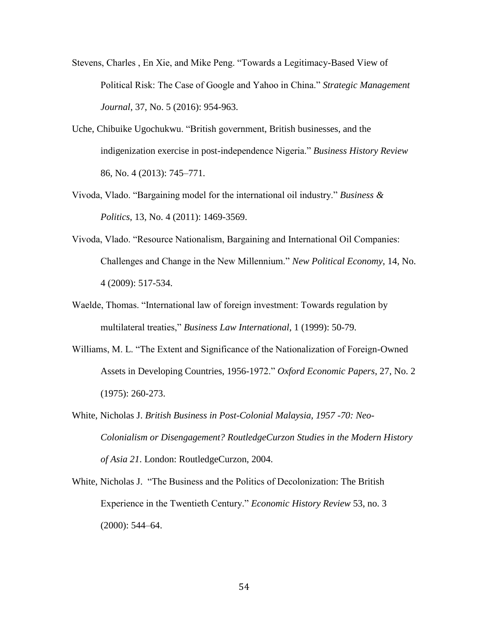- Stevens, Charles , En Xie, and Mike Peng. "Towards a Legitimacy-Based View of Political Risk: The Case of Google and Yahoo in China." *Strategic Management Journal*, 37, No. 5 (2016): 954-963.
- Uche, Chibuike Ugochukwu. "British government, British businesses, and the indigenization exercise in post-independence Nigeria." *Business History Review* 86, No. 4 (2013): 745–771.
- Vivoda, Vlado. "Bargaining model for the international oil industry." *Business & Politics*, 13, No. 4 (2011): 1469-3569.
- Vivoda, Vlado. "Resource Nationalism, Bargaining and International Oil Companies: Challenges and Change in the New Millennium." *New Political Economy*, 14, No. 4 (2009): 517-534.
- Waelde, Thomas. "International law of foreign investment: Towards regulation by multilateral treaties," *Business Law International*, 1 (1999): 50-79.
- Williams, M. L. "The Extent and Significance of the Nationalization of Foreign-Owned Assets in Developing Countries, 1956-1972." *Oxford Economic Papers*, 27, No. 2 (1975): 260-273.
- White, Nicholas J. *British Business in Post-Colonial Malaysia, 1957 -70: Neo-Colonialism or Disengagement? RoutledgeCurzon Studies in the Modern History of Asia 21*. London: RoutledgeCurzon, 2004.
- White, Nicholas J. "The Business and the Politics of Decolonization: The British Experience in the Twentieth Century." *Economic History Review* 53, no. 3 (2000): 544–64.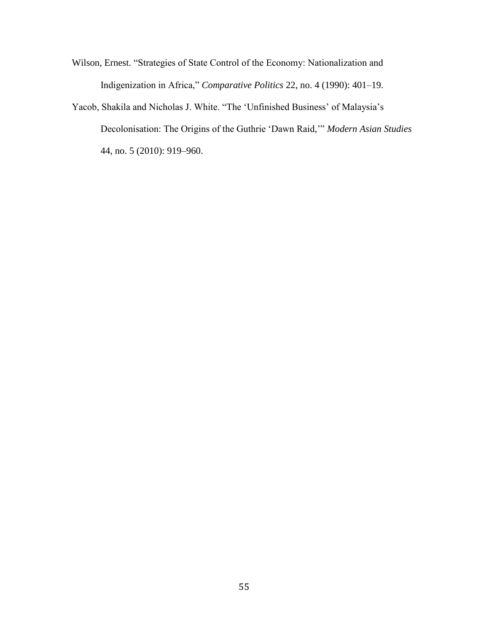Wilson, Ernest. "Strategies of State Control of the Economy: Nationalization and Indigenization in Africa," *Comparative Politics* 22, no. 4 (1990): 401–19.

Yacob, Shakila and Nicholas J. White. "The 'Unfinished Business' of Malaysia's Decolonisation: The Origins of the Guthrie 'Dawn Raid,'" *Modern Asian Studies* 44, no. 5 (2010): 919–960.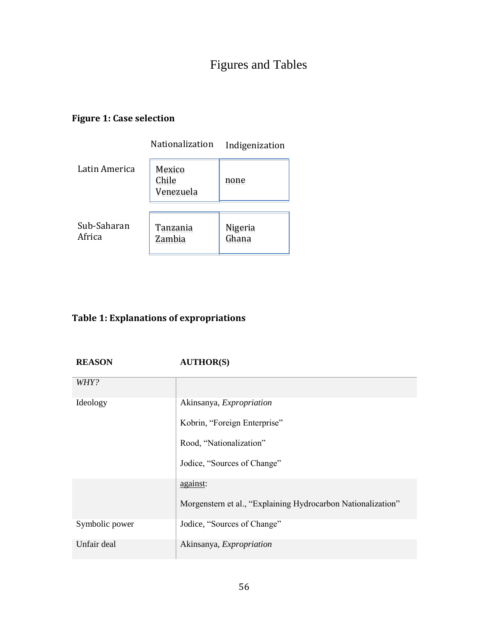# Figures and Tables

# **Figure 1: Case selection**

|                       | Nationalization              | Indigenization   |
|-----------------------|------------------------------|------------------|
| Latin America         | Mexico<br>Chile<br>Venezuela | none             |
| Sub-Saharan<br>Africa | Tanzania<br>Zambia           | Nigeria<br>Ghana |

# **Table 1: Explanations of expropriations**

# **REASON AUTHOR(S)**

| <i>WHY?</i>    |                                                              |
|----------------|--------------------------------------------------------------|
| Ideology       | Akinsanya, Expropriation                                     |
|                | Kobrin, "Foreign Enterprise"                                 |
|                | Rood, "Nationalization"                                      |
|                | Jodice, "Sources of Change"                                  |
|                | against:                                                     |
|                | Morgenstern et al., "Explaining Hydrocarbon Nationalization" |
| Symbolic power | Jodice, "Sources of Change"                                  |
| Unfair deal    | Akinsanya, Expropriation                                     |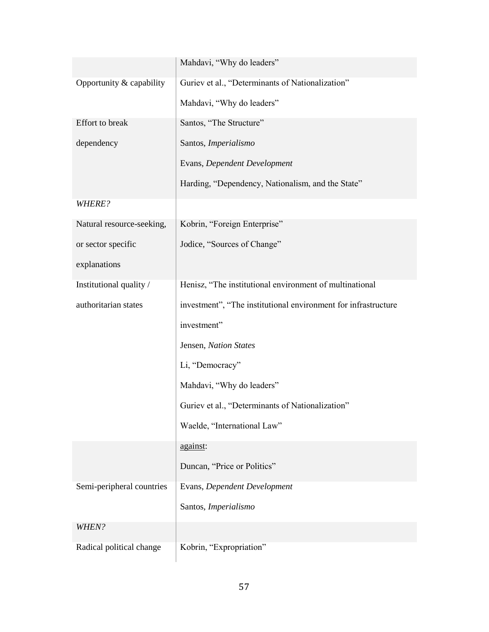|                           | Mahdavi, "Why do leaders"                                      |  |  |
|---------------------------|----------------------------------------------------------------|--|--|
| Opportunity & capability  | Guriev et al., "Determinants of Nationalization"               |  |  |
|                           | Mahdavi, "Why do leaders"                                      |  |  |
| Effort to break           | Santos, "The Structure"                                        |  |  |
| dependency                | Santos, Imperialismo                                           |  |  |
|                           | Evans, Dependent Development                                   |  |  |
|                           | Harding, "Dependency, Nationalism, and the State"              |  |  |
| WHERE?                    |                                                                |  |  |
| Natural resource-seeking, | Kobrin, "Foreign Enterprise"                                   |  |  |
| or sector specific        | Jodice, "Sources of Change"                                    |  |  |
| explanations              |                                                                |  |  |
| Institutional quality /   | Henisz, "The institutional environment of multinational        |  |  |
| authoritarian states      | investment", "The institutional environment for infrastructure |  |  |
|                           | investment"                                                    |  |  |
|                           | Jensen, Nation States                                          |  |  |
|                           | Li, "Democracy"                                                |  |  |
|                           | Mahdavi, "Why do leaders"                                      |  |  |
|                           | Guriev et al., "Determinants of Nationalization"               |  |  |
|                           | Waelde, "International Law"                                    |  |  |
|                           | against:                                                       |  |  |
|                           | Duncan, "Price or Politics"                                    |  |  |
| Semi-peripheral countries | Evans, Dependent Development                                   |  |  |
|                           | Santos, Imperialismo                                           |  |  |
| WHEN?                     |                                                                |  |  |
| Radical political change  | Kobrin, "Expropriation"                                        |  |  |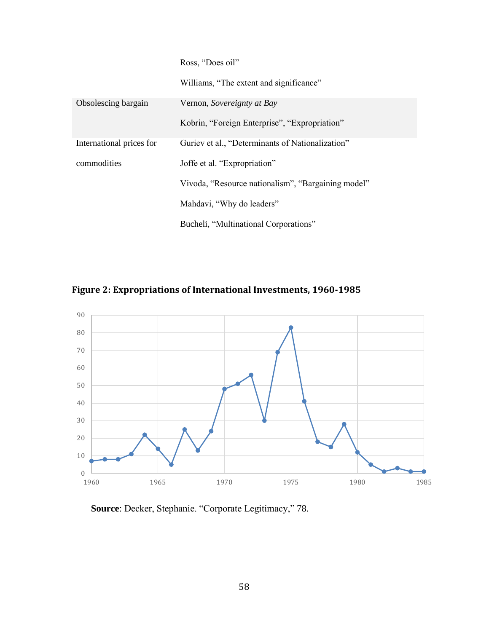|                          | Ross, "Does oil"                                   |
|--------------------------|----------------------------------------------------|
|                          | Williams, "The extent and significance"            |
| Obsolescing bargain      | Vernon, Sovereignty at Bay                         |
|                          | Kobrin, "Foreign Enterprise", "Expropriation"      |
| International prices for | Guriev et al., "Determinants of Nationalization"   |
| commodities              | Joffe et al. "Expropriation"                       |
|                          | Vivoda, "Resource nationalism", "Bargaining model" |
|                          | Mahdavi, "Why do leaders"                          |
|                          | Bucheli, "Multinational Corporations"              |





**Source**: Decker, Stephanie. "Corporate Legitimacy," 78.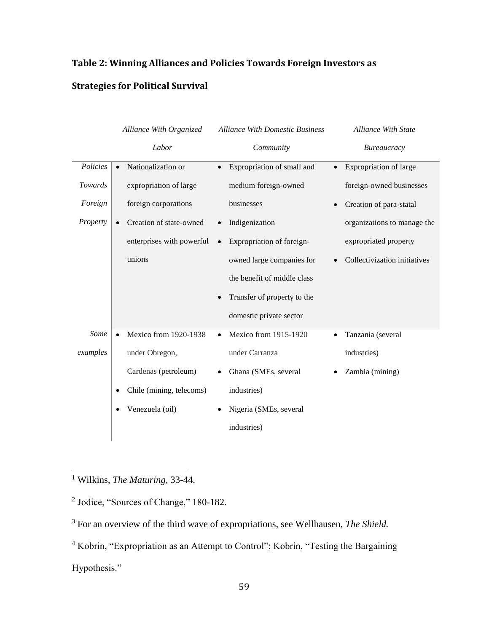# **Table 2: Winning Alliances and Policies Towards Foreign Investors as**

# **Strategies for Political Survival**

|          | Alliance With Organized              | <b>Alliance With Domestic Business</b> | <b>Alliance With State</b>    |
|----------|--------------------------------------|----------------------------------------|-------------------------------|
|          | Labor                                | Community                              | Bureaucracy                   |
| Policies | Nationalization or<br>$\bullet$      | Expropriation of small and             | <b>Expropriation of large</b> |
| Towards  | expropriation of large               | medium foreign-owned                   | foreign-owned businesses      |
| Foreign  | foreign corporations                 | businesses                             | Creation of para-statal       |
| Property | Creation of state-owned<br>$\bullet$ | Indigenization<br>$\bullet$            | organizations to manage the   |
|          | enterprises with powerful            | Expropriation of foreign-<br>$\bullet$ | expropriated property         |
|          | unions                               | owned large companies for              | Collectivization initiatives  |
|          |                                      | the benefit of middle class            |                               |
|          |                                      | Transfer of property to the            |                               |
|          |                                      | domestic private sector                |                               |
| Some     | Mexico from 1920-1938<br>$\bullet$   | Mexico from 1915-1920                  | Tanzania (several             |
| examples | under Obregon,                       | under Carranza                         | industries)                   |
|          | Cardenas (petroleum)                 | Ghana (SMEs, several                   | Zambia (mining)               |
|          | Chile (mining, telecoms)<br>٠        | industries)                            |                               |
|          | Venezuela (oil)<br>٠                 | Nigeria (SMEs, several                 |                               |
|          |                                      | industries)                            |                               |
|          |                                      |                                        |                               |

<sup>1</sup> Wilkins, *The Maturing,* 33-44.

 $\overline{a}$ 

<sup>2</sup> Jodice, "Sources of Change," 180-182.

<sup>3</sup> For an overview of the third wave of expropriations, see Wellhausen, *The Shield.*

<sup>4</sup> Kobrin, "Expropriation as an Attempt to Control"; Kobrin, "Testing the Bargaining Hypothesis."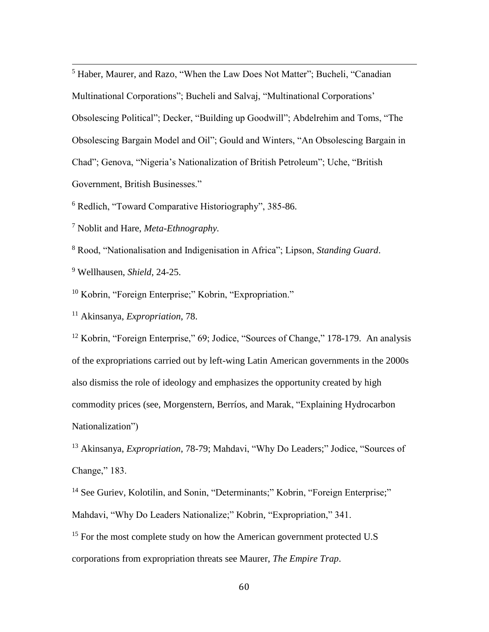<sup>5</sup> Haber, Maurer, and Razo, "When the Law Does Not Matter"; Bucheli, "Canadian Multinational Corporations"; Bucheli and Salvaj, "Multinational Corporations' Obsolescing Political"; Decker, "Building up Goodwill"; Abdelrehim and Toms, "The Obsolescing Bargain Model and Oil"; Gould and Winters, "An Obsolescing Bargain in Chad"; Genova, "Nigeria's Nationalization of British Petroleum"; Uche, "British Government, British Businesses."

<sup>6</sup> Redlich, "Toward Comparative Historiography", 385-86.

<sup>7</sup> Noblit and Hare, *Meta-Ethnography.*

<sup>8</sup> Rood, "Nationalisation and Indigenisation in Africa"; Lipson, *Standing Guard*.

<sup>9</sup> Wellhausen, *Shield*, 24-25.

 $\overline{a}$ 

<sup>10</sup> Kobrin, "Foreign Enterprise;" Kobrin, "Expropriation."

<sup>11</sup> Akinsanya, *Expropriation*, 78.

<sup>12</sup> Kobrin, "Foreign Enterprise," 69; Jodice, "Sources of Change," 178-179. An analysis of the expropriations carried out by left-wing Latin American governments in the 2000s also dismiss the role of ideology and emphasizes the opportunity created by high commodity prices (see, Morgenstern, Berríos, and Marak, "Explaining Hydrocarbon Nationalization")

<sup>13</sup> Akinsanya, *Expropriation*, 78-79; Mahdavi, "Why Do Leaders;" Jodice, "Sources of Change," 183.

<sup>14</sup> See Guriev, Kolotilin, and Sonin, "Determinants;" Kobrin, "Foreign Enterprise;" Mahdavi, "Why Do Leaders Nationalize;" Kobrin, "Expropriation," 341.

<sup>15</sup> For the most complete study on how the American government protected U.S corporations from expropriation threats see Maurer, *The Empire Trap*.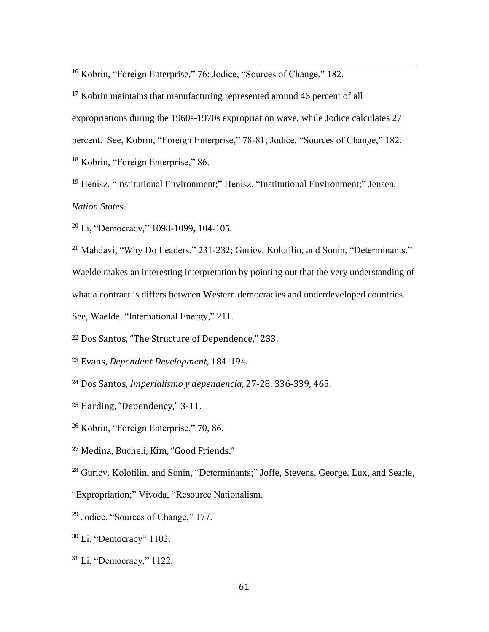<sup>16</sup> Kobrin, "Foreign Enterprise," 76; Jodice, "Sources of Change," 182.

<sup>17</sup> Kobrin maintains that manufacturing represented around 46 percent of all expropriations during the 1960s-1970s expropriation wave, while Jodice calculates 27 percent. See, Kobrin, "Foreign Enterprise," 78-81; Jodice, "Sources of Change," 182. <sup>18</sup> Kobrin, "Foreign Enterprise," 86.

<sup>19</sup> Henisz, "Institutional Environment;" Henisz, "Institutional Environment;" Jensen, *Nation States*.

<sup>20</sup> Li, "Democracy," 1098-1099, 104-105.

 $\overline{a}$ 

<sup>21</sup> Mahdavi, "Why Do Leaders," 231-232; Guriev, Kolotilin, and Sonin, "Determinants." Waelde makes an interesting interpretation by pointing out that the very understanding of what a contract is differs between Western democracies and underdeveloped countries. See, Waelde, "International Energy," 211.

<sup>22</sup> Dos Santos, "The Structure of Dependence," 233.

<sup>23</sup> Evans, *Dependent Development*, 184-194.

<sup>24</sup> Dos Santos, *Imperialismo y dependencia*, 27-28, 336-339, 465.

- <sup>25</sup> Harding, "Dependency," 3-11.
- <sup>26</sup> Kobrin, "Foreign Enterprise," 70, 86.
- <sup>27</sup> Medina, Bucheli, Kim, "Good Friends."

<sup>28</sup> Guriev, Kolotilin, and Sonin, "Determinants;" Joffe, Stevens, George, Lux, and Searle,

"Expropriation;" Vivoda, "Resource Nationalism.

- <sup>29</sup> Jodice, "Sources of Change," 177.
- <sup>30</sup> Li, "Democracy" 1102.
- <sup>31</sup> Li, "Democracy," 1122.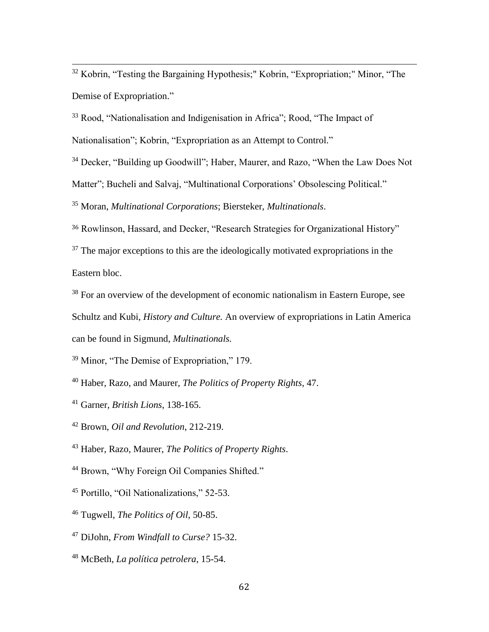<sup>32</sup> Kobrin, "Testing the Bargaining Hypothesis;" Kobrin, "Expropriation;" Minor, "The Demise of Expropriation."

<sup>33</sup> Rood, "Nationalisation and Indigenisation in Africa"; Rood, "The Impact of Nationalisation"; Kobrin, "Expropriation as an Attempt to Control."

<sup>34</sup> Decker, "Building up Goodwill"; Haber, Maurer, and Razo, "When the Law Does Not Matter"; Bucheli and Salvaj, "Multinational Corporations' Obsolescing Political."

<sup>35</sup> Moran, *Multinational Corporations*; Biersteker, *Multinationals*.

<sup>36</sup> Rowlinson, Hassard, and Decker, "Research Strategies for Organizational History"

 $37$  The major exceptions to this are the ideologically motivated expropriations in the Eastern bloc.

<sup>38</sup> For an overview of the development of economic nationalism in Eastern Europe, see Schultz and Kubi, *History and Culture.* An overview of expropriations in Latin America can be found in Sigmund, *Multinationals.*

<sup>39</sup> Minor, "The Demise of Expropriation," 179.

<sup>40</sup> Haber, Razo, and Maurer, *The Politics of Property Rights*, 47.

<sup>41</sup> Garner, *British Lions*, 138-165.

 $\overline{a}$ 

<sup>42</sup> Brown, *Oil and Revolution*, 212-219.

<sup>43</sup> Haber, Razo, Maurer, *The Politics of Property Rights*.

<sup>44</sup> Brown, "Why Foreign Oil Companies Shifted."

<sup>45</sup> Portillo, "Oil Nationalizations," 52-53.

<sup>46</sup> Tugwell, *The Politics of Oil*, 50-85.

<sup>47</sup> DiJohn, *From Windfall to Curse?* 15-32.

<sup>48</sup> McBeth, *La política petrolera*, 15-54.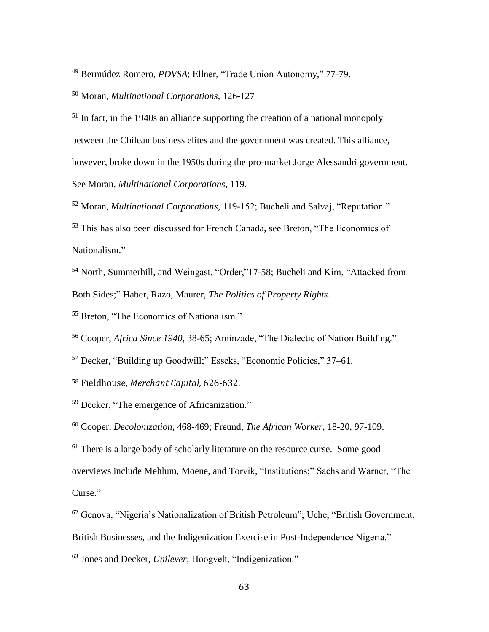<sup>49</sup> Bermúdez Romero, *PDVSA*; Ellner, "Trade Union Autonomy," 77-79.

<sup>50</sup> Moran, *Multinational Corporations*, 126-127

 $\overline{a}$ 

<sup>51</sup> In fact, in the 1940s an alliance supporting the creation of a national monopoly between the Chilean business elites and the government was created. This alliance, however, broke down in the 1950s during the pro-market Jorge Alessandri government. See Moran, *Multinational Corporations*, 119.

<sup>52</sup> Moran, *Multinational Corporations,* 119-152; Bucheli and Salvaj, "Reputation."

<sup>53</sup> This has also been discussed for French Canada, see Breton, "The Economics of Nationalism."

<sup>54</sup> North, Summerhill, and Weingast, "Order,"17-58; Bucheli and Kim, "Attacked from Both Sides;" Haber, Razo, Maurer, *The Politics of Property Rights*.

<sup>55</sup> Breton, "The Economics of Nationalism."

<sup>56</sup> Cooper, *Africa Since 1940*, 38-65; Aminzade, "The Dialectic of Nation Building."

<sup>57</sup> Decker, "Building up Goodwill;" Esseks, "Economic Policies," 37–61.

<sup>58</sup> Fieldhouse, *Merchant Capital,* 626*-*632.

<sup>59</sup> Decker, "The emergence of Africanization."

<sup>60</sup> Cooper, *Decolonization,* 468-469; Freund, *The African Worker*, 18-20, 97-109.

 $61$  There is a large body of scholarly literature on the resource curse. Some good

overviews include Mehlum, Moene, and Torvik, "Institutions;" Sachs and Warner, "The Curse."

<sup>62</sup> Genova, "Nigeria's Nationalization of British Petroleum"; Uche, "British Government,

British Businesses, and the Indigenization Exercise in Post-Independence Nigeria."

<sup>63</sup> Jones and Decker, *Unilever*; Hoogvelt, "Indigenization."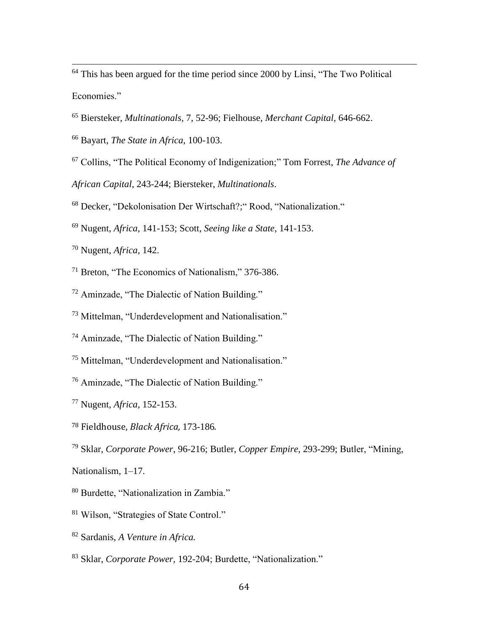<sup>64</sup> This has been argued for the time period since 2000 by Linsi, "The Two Political Economies."

Biersteker, *Multinationals,* 7, 52-96; Fielhouse, *Merchant Capital,* 646-662.

Bayart, *The State in Africa*, 100-103.

Collins, "The Political Economy of Indigenization;" Tom Forrest, *The Advance of* 

*African Capital*, 243-244; Biersteker, *Multinationals*.

Decker, "Dekolonisation Der Wirtschaft?;" Rood, "Nationalization."

Nugent, *Africa*, 141-153; Scott, *Seeing like a State*, 141-153.

Nugent, *Africa,* 142.

 $\overline{a}$ 

Breton, "The Economics of Nationalism," 376-386.

Aminzade, "The Dialectic of Nation Building."

Mittelman, "Underdevelopment and Nationalisation."

Aminzade, "The Dialectic of Nation Building."

Mittelman, "Underdevelopment and Nationalisation."

Aminzade, "The Dialectic of Nation Building."

Nugent, *Africa,* 152-153.

Fieldhouse, *Black Africa,* 173-186.

Sklar, *Corporate Power*, 96-216; Butler, *Copper Empire*, 293-299; Butler, "Mining,

Nationalism, 1–17.

Burdette, "Nationalization in Zambia."

Wilson, "Strategies of State Control."

Sardanis, *A Venture in Africa.*

Sklar, *Corporate Power,* 192-204; Burdette, "Nationalization."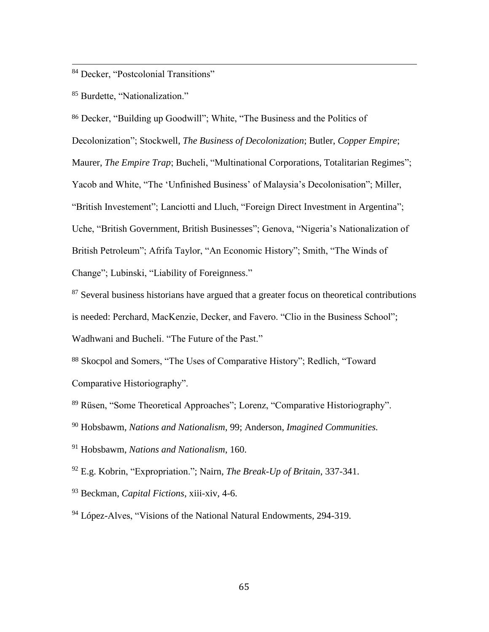#### <sup>84</sup> Decker, "Postcolonial Transitions"

<sup>85</sup> Burdette, "Nationalization."

 $\overline{a}$ 

<sup>86</sup> Decker, "Building up Goodwill"; White, "The Business and the Politics of Decolonization"; Stockwell, *The Business of Decolonization*; Butler, *Copper Empire*; Maurer, *The Empire Trap*; Bucheli, "Multinational Corporations, Totalitarian Regimes"; Yacob and White, "The 'Unfinished Business' of Malaysia's Decolonisation"; Miller, "British Investement"; Lanciotti and Lluch, "Foreign Direct Investment in Argentina"; Uche, "British Government, British Businesses"; Genova, "Nigeria's Nationalization of British Petroleum"; Afrifa Taylor, "An Economic History"; Smith, "The Winds of Change"; Lubinski, "Liability of Foreignness."

 $87$  Several business historians have argued that a greater focus on theoretical contributions is needed: Perchard, MacKenzie, Decker, and Favero. "Clio in the Business School"; Wadhwani and Bucheli. "The Future of the Past."

<sup>88</sup> Skocpol and Somers, "The Uses of Comparative History"; Redlich, "Toward Comparative Historiography".

<sup>89</sup> Rüsen, "Some Theoretical Approaches"; Lorenz, "Comparative Historiography".

<sup>90</sup> Hobsbawm, *Nations and Nationalism*, 99; Anderson, *Imagined Communities.*

<sup>91</sup> Hobsbawm, *Nations and Nationalism*, 160.

<sup>92</sup> E.g. Kobrin, "Expropriation."; Nairn, *The Break-Up of Britain*, 337-341.

<sup>93</sup> Beckman, *Capital Fictions*, xiii-xiv, 4-6.

<sup>94</sup> López-Alves, "Visions of the National Natural Endowments, 294-319.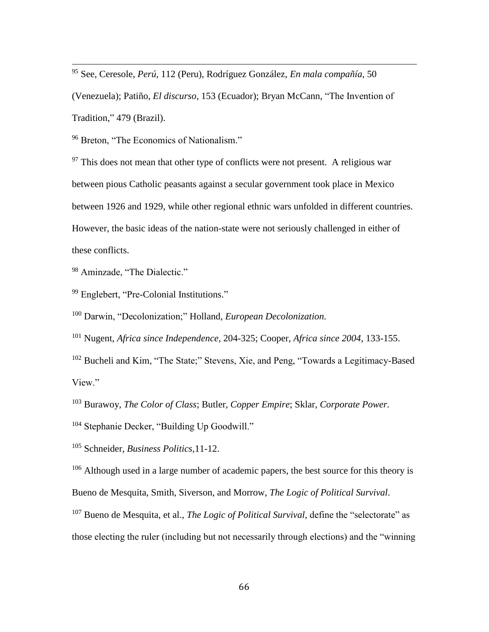<sup>95</sup> See, Ceresole, *Perú*, 112 (Peru), Rodríguez González, *En mala compañía*, 50

(Venezuela); Patiño, *El discurso*, 153 (Ecuador); Bryan McCann, "The Invention of Tradition," 479 (Brazil).

<sup>96</sup> Breton, "The Economics of Nationalism."

 $97$  This does not mean that other type of conflicts were not present. A religious war between pious Catholic peasants against a secular government took place in Mexico between 1926 and 1929, while other regional ethnic wars unfolded in different countries. However, the basic ideas of the nation-state were not seriously challenged in either of these conflicts.

<sup>98</sup> Aminzade, "The Dialectic."

 $\overline{a}$ 

<sup>99</sup> Englebert, "Pre-Colonial Institutions."

<sup>100</sup> Darwin, "Decolonization;" Holland, *European Decolonization.*

<sup>101</sup> Nugent, *Africa since Independence*, 204-325; Cooper, *Africa since 2004*, 133-155.

<sup>102</sup> Bucheli and Kim, "The State;" Stevens, Xie, and Peng, "Towards a Legitimacy-Based View."

<sup>103</sup> Burawoy, *The Color of Class*; Butler, *Copper Empire*; Sklar, *Corporate Power.*

- <sup>104</sup> Stephanie Decker, "Building Up Goodwill."
- <sup>105</sup> Schneider, *Business Politics,*11-12.

<sup>106</sup> Although used in a large number of academic papers, the best source for this theory is Bueno de Mesquita, Smith, Siverson, and Morrow, *The Logic of Political Survival*.

<sup>107</sup> Bueno de Mesquita, et al., *The Logic of Political Survival*, define the "selectorate" as those electing the ruler (including but not necessarily through elections) and the "winning